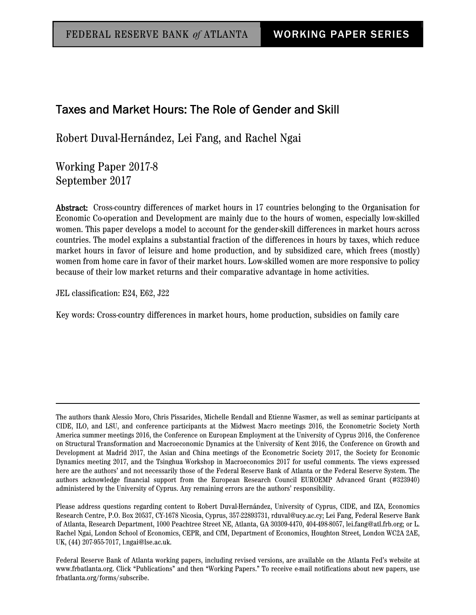## Taxes and Market Hours: The Role of Gender and Skill

Robert Duval-Hernández, Lei Fang, and Rachel Ngai

Working Paper 2017-8 September 2017

Abstract: Cross-country differences of market hours in 17 countries belonging to the Organisation for Economic Co-operation and Development are mainly due to the hours of women, especially low-skilled women. This paper develops a model to account for the gender-skill differences in market hours across countries. The model explains a substantial fraction of the differences in hours by taxes, which reduce market hours in favor of leisure and home production, and by subsidized care, which frees (mostly) women from home care in favor of their market hours. Low-skilled women are more responsive to policy because of their low market returns and their comparative advantage in home activities.

JEL classification: E24, E62, J22

Key words: Cross-country differences in market hours, home production, subsidies on family care

The authors thank Alessio Moro, Chris Pissarides, Michelle Rendall and Etienne Wasmer, as well as seminar participants at CIDE, ILO, and LSU, and conference participants at the Midwest Macro meetings 2016, the Econometric Society North America summer meetings 2016, the Conference on European Employment at the University of Cyprus 2016, the Conference on Structural Transformation and Macroeconomic Dynamics at the University of Kent 2016, the Conference on Growth and Development at Madrid 2017, the Asian and China meetings of the Econometric Society 2017, the Society for Economic Dynamics meeting 2017, and the Tsinghua Workshop in Macroeconomics 2017 for useful comments. The views expressed here are the authors' and not necessarily those of the Federal Reserve Bank of Atlanta or the Federal Reserve System. The authors acknowledge financial support from the European Research Council EUROEMP Advanced Grant (#323940) administered by the University of Cyprus. Any remaining errors are the authors' responsibility.

Please address questions regarding content to Robert Duval-Hernández, University of Cyprus, CIDE, and IZA, Economics Research Centre, P.O. Box 20537, CY-1678 Nicosia, Cyprus, 357-22893731, rduval@ucy.ac.cy; Lei Fang, Federal Reserve Bank of Atlanta, Research Department, 1000 Peachtree Street NE, Atlanta, GA 30309-4470, 404-498-8057, lei.fang@atl.frb.org; or L. Rachel Ngai, London School of Economics, CEPR, and CfM, Department of Economics, Houghton Street, London WC2A 2AE, UK, (44) 207-955-7017, l.ngai@lse.ac.uk.

Federal Reserve Bank of Atlanta working papers, including revised versions, are available on the Atlanta Fed's website at www.frbatlanta.org. Click "Publications" and then "Working Papers." To receive e-mail notifications about new papers, use frbatlanta.org/forms/subscribe.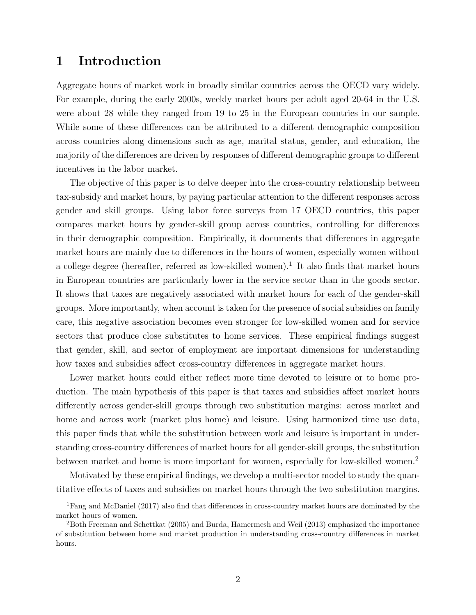## 1 Introduction

Aggregate hours of market work in broadly similar countries across the OECD vary widely. For example, during the early 2000s, weekly market hours per adult aged 20-64 in the U.S. were about 28 while they ranged from 19 to 25 in the European countries in our sample. While some of these differences can be attributed to a different demographic composition across countries along dimensions such as age, marital status, gender, and education, the majority of the differences are driven by responses of different demographic groups to different incentives in the labor market.

The objective of this paper is to delve deeper into the cross-country relationship between tax-subsidy and market hours, by paying particular attention to the different responses across gender and skill groups. Using labor force surveys from 17 OECD countries, this paper compares market hours by gender-skill group across countries, controlling for differences in their demographic composition. Empirically, it documents that differences in aggregate market hours are mainly due to differences in the hours of women, especially women without a college degree (hereafter, referred as low-skilled women).<sup>1</sup> It also finds that market hours in European countries are particularly lower in the service sector than in the goods sector. It shows that taxes are negatively associated with market hours for each of the gender-skill groups. More importantly, when account is taken for the presence of social subsidies on family care, this negative association becomes even stronger for low-skilled women and for service sectors that produce close substitutes to home services. These empirical findings suggest that gender, skill, and sector of employment are important dimensions for understanding how taxes and subsidies affect cross-country differences in aggregate market hours.

Lower market hours could either reflect more time devoted to leisure or to home production. The main hypothesis of this paper is that taxes and subsidies affect market hours differently across gender-skill groups through two substitution margins: across market and home and across work (market plus home) and leisure. Using harmonized time use data, this paper finds that while the substitution between work and leisure is important in understanding cross-country differences of market hours for all gender-skill groups, the substitution between market and home is more important for women, especially for low-skilled women.<sup>2</sup>

Motivated by these empirical findings, we develop a multi-sector model to study the quantitative effects of taxes and subsidies on market hours through the two substitution margins.

<sup>&</sup>lt;sup>1</sup>Fang and McDaniel (2017) also find that differences in cross-country market hours are dominated by the market hours of women.

 $^{2}$ Both Freeman and Schettkat (2005) and Burda, Hamermesh and Weil (2013) emphasized the importance of substitution between home and market production in understanding cross-country differences in market hours.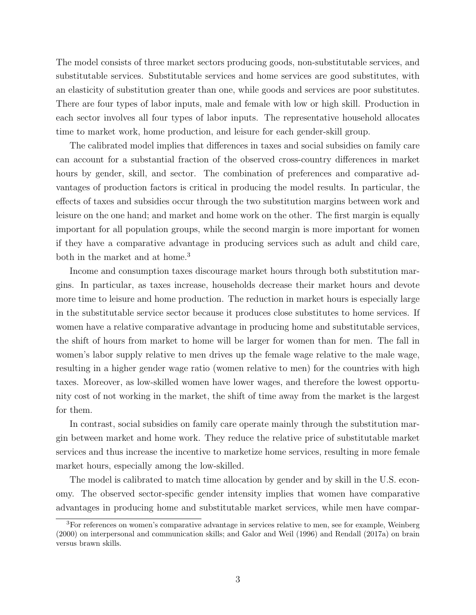The model consists of three market sectors producing goods, non-substitutable services, and substitutable services. Substitutable services and home services are good substitutes, with an elasticity of substitution greater than one, while goods and services are poor substitutes. There are four types of labor inputs, male and female with low or high skill. Production in each sector involves all four types of labor inputs. The representative household allocates time to market work, home production, and leisure for each gender-skill group.

The calibrated model implies that differences in taxes and social subsidies on family care can account for a substantial fraction of the observed cross-country differences in market hours by gender, skill, and sector. The combination of preferences and comparative advantages of production factors is critical in producing the model results. In particular, the effects of taxes and subsidies occur through the two substitution margins between work and leisure on the one hand; and market and home work on the other. The first margin is equally important for all population groups, while the second margin is more important for women if they have a comparative advantage in producing services such as adult and child care, both in the market and at home.<sup>3</sup>

Income and consumption taxes discourage market hours through both substitution margins. In particular, as taxes increase, households decrease their market hours and devote more time to leisure and home production. The reduction in market hours is especially large in the substitutable service sector because it produces close substitutes to home services. If women have a relative comparative advantage in producing home and substitutable services, the shift of hours from market to home will be larger for women than for men. The fall in women's labor supply relative to men drives up the female wage relative to the male wage, resulting in a higher gender wage ratio (women relative to men) for the countries with high taxes. Moreover, as low-skilled women have lower wages, and therefore the lowest opportunity cost of not working in the market, the shift of time away from the market is the largest for them.

In contrast, social subsidies on family care operate mainly through the substitution margin between market and home work. They reduce the relative price of substitutable market services and thus increase the incentive to marketize home services, resulting in more female market hours, especially among the low-skilled.

The model is calibrated to match time allocation by gender and by skill in the U.S. economy. The observed sector-specific gender intensity implies that women have comparative advantages in producing home and substitutable market services, while men have compar-

<sup>3</sup>For references on women's comparative advantage in services relative to men, see for example, Weinberg (2000) on interpersonal and communication skills; and Galor and Weil (1996) and Rendall (2017a) on brain versus brawn skills.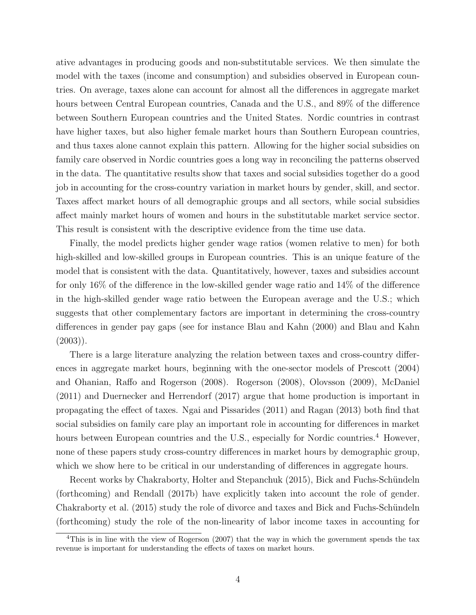ative advantages in producing goods and non-substitutable services. We then simulate the model with the taxes (income and consumption) and subsidies observed in European countries. On average, taxes alone can account for almost all the differences in aggregate market hours between Central European countries, Canada and the U.S., and  $89\%$  of the difference between Southern European countries and the United States. Nordic countries in contrast have higher taxes, but also higher female market hours than Southern European countries, and thus taxes alone cannot explain this pattern. Allowing for the higher social subsidies on family care observed in Nordic countries goes a long way in reconciling the patterns observed in the data. The quantitative results show that taxes and social subsidies together do a good job in accounting for the cross-country variation in market hours by gender, skill, and sector. Taxes affect market hours of all demographic groups and all sectors, while social subsidies affect mainly market hours of women and hours in the substitutable market service sector. This result is consistent with the descriptive evidence from the time use data.

Finally, the model predicts higher gender wage ratios (women relative to men) for both high-skilled and low-skilled groups in European countries. This is an unique feature of the model that is consistent with the data. Quantitatively, however, taxes and subsidies account for only 16% of the difference in the low-skilled gender wage ratio and 14% of the difference in the high-skilled gender wage ratio between the European average and the U.S.; which suggests that other complementary factors are important in determining the cross-country differences in gender pay gaps (see for instance Blau and Kahn (2000) and Blau and Kahn  $(2003)$ ).

There is a large literature analyzing the relation between taxes and cross-country differences in aggregate market hours, beginning with the one-sector models of Prescott (2004) and Ohanian, Raffo and Rogerson (2008). Rogerson (2008), Olovsson (2009), McDaniel (2011) and Duernecker and Herrendorf (2017) argue that home production is important in propagating the effect of taxes. Ngai and Pissarides (2011) and Ragan (2013) both find that social subsidies on family care play an important role in accounting for differences in market hours between European countries and the U.S., especially for Nordic countries.<sup>4</sup> However, none of these papers study cross-country differences in market hours by demographic group, which we show here to be critical in our understanding of differences in aggregate hours.

Recent works by Chakraborty, Holter and Stepanchuk (2015), Bick and Fuchs-Schündeln (forthcoming) and Rendall (2017b) have explicitly taken into account the role of gender. Chakraborty et al. (2015) study the role of divorce and taxes and Bick and Fuchs-Schündeln (forthcoming) study the role of the non-linearity of labor income taxes in accounting for

<sup>&</sup>lt;sup>4</sup>This is in line with the view of Rogerson (2007) that the way in which the government spends the tax revenue is important for understanding the effects of taxes on market hours.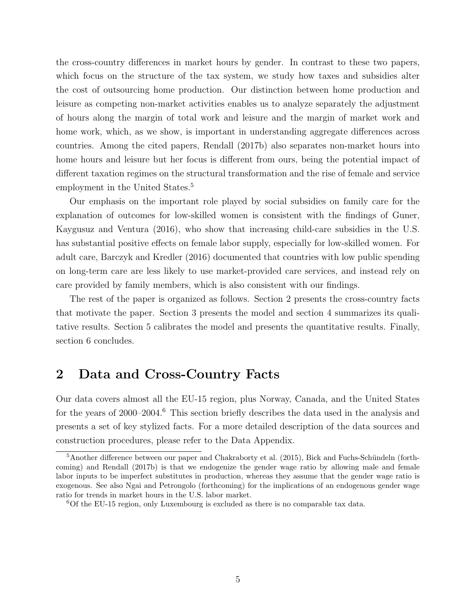the cross-country differences in market hours by gender. In contrast to these two papers, which focus on the structure of the tax system, we study how taxes and subsidies alter the cost of outsourcing home production. Our distinction between home production and leisure as competing non-market activities enables us to analyze separately the adjustment of hours along the margin of total work and leisure and the margin of market work and home work, which, as we show, is important in understanding aggregate differences across countries. Among the cited papers, Rendall (2017b) also separates non-market hours into home hours and leisure but her focus is different from ours, being the potential impact of different taxation regimes on the structural transformation and the rise of female and service employment in the United States.<sup>5</sup>

Our emphasis on the important role played by social subsidies on family care for the explanation of outcomes for low-skilled women is consistent with the findings of Guner, Kaygusuz and Ventura (2016), who show that increasing child-care subsidies in the U.S. has substantial positive effects on female labor supply, especially for low-skilled women. For adult care, Barczyk and Kredler (2016) documented that countries with low public spending on long-term care are less likely to use market-provided care services, and instead rely on care provided by family members, which is also consistent with our findings.

The rest of the paper is organized as follows. Section 2 presents the cross-country facts that motivate the paper. Section 3 presents the model and section 4 summarizes its qualitative results. Section 5 calibrates the model and presents the quantitative results. Finally, section 6 concludes.

# 2 Data and Cross-Country Facts

Our data covers almost all the EU-15 region, plus Norway, Canada, and the United States for the years of 2000–2004.<sup>6</sup> This section briefly describes the data used in the analysis and presents a set of key stylized facts. For a more detailed description of the data sources and construction procedures, please refer to the Data Appendix.

 $5$ Another difference between our paper and Chakraborty et al. (2015), Bick and Fuchs-Schündeln (forthcoming) and Rendall (2017b) is that we endogenize the gender wage ratio by allowing male and female labor inputs to be imperfect substitutes in production, whereas they assume that the gender wage ratio is exogenous. See also Ngai and Petrongolo (forthcoming) for the implications of an endogenous gender wage ratio for trends in market hours in the U.S. labor market.

 ${}^{6}$ Of the EU-15 region, only Luxembourg is excluded as there is no comparable tax data.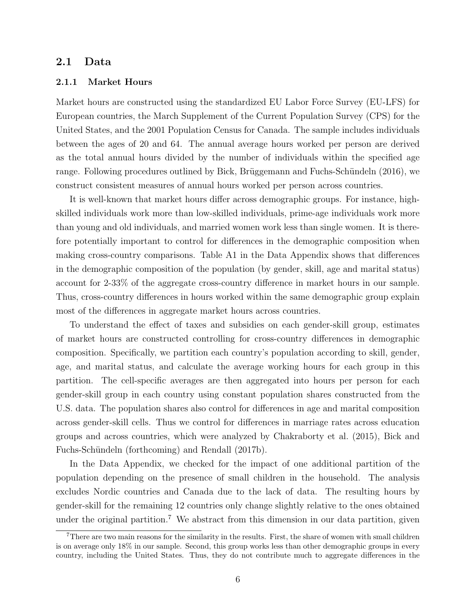### 2.1 Data

#### 2.1.1 Market Hours

Market hours are constructed using the standardized EU Labor Force Survey (EU-LFS) for European countries, the March Supplement of the Current Population Survey (CPS) for the United States, and the 2001 Population Census for Canada. The sample includes individuals between the ages of 20 and 64. The annual average hours worked per person are derived as the total annual hours divided by the number of individuals within the specified age range. Following procedures outlined by Bick, Brüggemann and Fuchs-Schündeln (2016), we construct consistent measures of annual hours worked per person across countries.

It is well-known that market hours differ across demographic groups. For instance, highskilled individuals work more than low-skilled individuals, prime-age individuals work more than young and old individuals, and married women work less than single women. It is therefore potentially important to control for differences in the demographic composition when making cross-country comparisons. Table A1 in the Data Appendix shows that differences in the demographic composition of the population (by gender, skill, age and marital status) account for 2-33% of the aggregate cross-country difference in market hours in our sample. Thus, cross-country differences in hours worked within the same demographic group explain most of the differences in aggregate market hours across countries.

To understand the effect of taxes and subsidies on each gender-skill group, estimates of market hours are constructed controlling for cross-country differences in demographic composition. Specifically, we partition each country's population according to skill, gender, age, and marital status, and calculate the average working hours for each group in this partition. The cell-specific averages are then aggregated into hours per person for each gender-skill group in each country using constant population shares constructed from the U.S. data. The population shares also control for differences in age and marital composition across gender-skill cells. Thus we control for differences in marriage rates across education groups and across countries, which were analyzed by Chakraborty et al. (2015), Bick and Fuchs-Schündeln (forthcoming) and Rendall (2017b).

In the Data Appendix, we checked for the impact of one additional partition of the population depending on the presence of small children in the household. The analysis excludes Nordic countries and Canada due to the lack of data. The resulting hours by gender-skill for the remaining 12 countries only change slightly relative to the ones obtained under the original partition.<sup>7</sup> We abstract from this dimension in our data partition, given

<sup>&</sup>lt;sup>7</sup>There are two main reasons for the similarity in the results. First, the share of women with small children is on average only 18% in our sample. Second, this group works less than other demographic groups in every country, including the United States. Thus, they do not contribute much to aggregate differences in the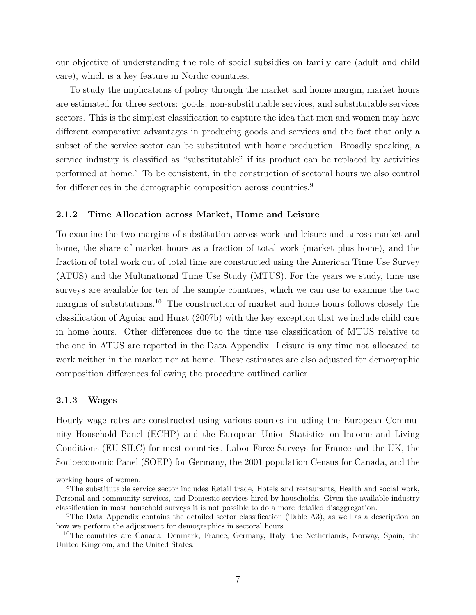our objective of understanding the role of social subsidies on family care (adult and child care), which is a key feature in Nordic countries.

To study the implications of policy through the market and home margin, market hours are estimated for three sectors: goods, non-substitutable services, and substitutable services sectors. This is the simplest classification to capture the idea that men and women may have different comparative advantages in producing goods and services and the fact that only a subset of the service sector can be substituted with home production. Broadly speaking, a service industry is classified as "substitutable" if its product can be replaced by activities performed at home.<sup>8</sup> To be consistent, in the construction of sectoral hours we also control for differences in the demographic composition across countries.<sup>9</sup>

#### 2.1.2 Time Allocation across Market, Home and Leisure

To examine the two margins of substitution across work and leisure and across market and home, the share of market hours as a fraction of total work (market plus home), and the fraction of total work out of total time are constructed using the American Time Use Survey (ATUS) and the Multinational Time Use Study (MTUS). For the years we study, time use surveys are available for ten of the sample countries, which we can use to examine the two margins of substitutions.<sup>10</sup> The construction of market and home hours follows closely the classification of Aguiar and Hurst (2007b) with the key exception that we include child care in home hours. Other differences due to the time use classification of MTUS relative to the one in ATUS are reported in the Data Appendix. Leisure is any time not allocated to work neither in the market nor at home. These estimates are also adjusted for demographic composition differences following the procedure outlined earlier.

#### 2.1.3 Wages

Hourly wage rates are constructed using various sources including the European Community Household Panel (ECHP) and the European Union Statistics on Income and Living Conditions (EU-SILC) for most countries, Labor Force Surveys for France and the UK, the Socioeconomic Panel (SOEP) for Germany, the 2001 population Census for Canada, and the

working hours of women.

<sup>8</sup>The substitutable service sector includes Retail trade, Hotels and restaurants, Health and social work, Personal and community services, and Domestic services hired by households. Given the available industry classification in most household surveys it is not possible to do a more detailed disaggregation.

<sup>9</sup>The Data Appendix contains the detailed sector classification (Table A3), as well as a description on how we perform the adjustment for demographics in sectoral hours.

<sup>&</sup>lt;sup>10</sup>The countries are Canada, Denmark, France, Germany, Italy, the Netherlands, Norway, Spain, the United Kingdom, and the United States.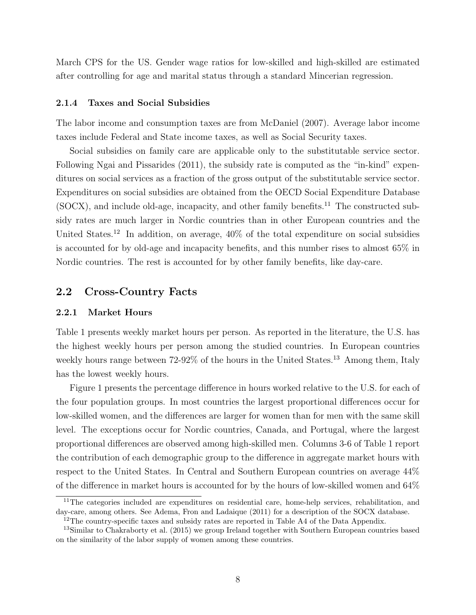March CPS for the US. Gender wage ratios for low-skilled and high-skilled are estimated after controlling for age and marital status through a standard Mincerian regression.

#### 2.1.4 Taxes and Social Subsidies

The labor income and consumption taxes are from McDaniel (2007). Average labor income taxes include Federal and State income taxes, as well as Social Security taxes.

Social subsidies on family care are applicable only to the substitutable service sector. Following Ngai and Pissarides (2011), the subsidy rate is computed as the "in-kind" expenditures on social services as a fraction of the gross output of the substitutable service sector. Expenditures on social subsidies are obtained from the OECD Social Expenditure Database  $(SOCX)$ , and include old-age, incapacity, and other family benefits.<sup>11</sup> The constructed subsidy rates are much larger in Nordic countries than in other European countries and the United States.<sup>12</sup> In addition, on average,  $40\%$  of the total expenditure on social subsidies is accounted for by old-age and incapacity benefits, and this number rises to almost 65% in Nordic countries. The rest is accounted for by other family benefits, like day-care.

### 2.2 Cross-Country Facts

### 2.2.1 Market Hours

Table 1 presents weekly market hours per person. As reported in the literature, the U.S. has the highest weekly hours per person among the studied countries. In European countries weekly hours range between 72-92% of the hours in the United States.<sup>13</sup> Among them, Italy has the lowest weekly hours.

Figure 1 presents the percentage difference in hours worked relative to the U.S. for each of the four population groups. In most countries the largest proportional differences occur for low-skilled women, and the differences are larger for women than for men with the same skill level. The exceptions occur for Nordic countries, Canada, and Portugal, where the largest proportional differences are observed among high-skilled men. Columns 3-6 of Table 1 report the contribution of each demographic group to the difference in aggregate market hours with respect to the United States. In Central and Southern European countries on average 44% of the difference in market hours is accounted for by the hours of low-skilled women and 64%

<sup>&</sup>lt;sup>11</sup>The categories included are expenditures on residential care, home-help services, rehabilitation, and day-care, among others. See Adema, Fron and Ladaique (2011) for a description of the SOCX database.

<sup>&</sup>lt;sup>12</sup>The country-specific taxes and subsidy rates are reported in Table A4 of the Data Appendix.

<sup>13</sup>Similar to Chakraborty et al. (2015) we group Ireland together with Southern European countries based on the similarity of the labor supply of women among these countries.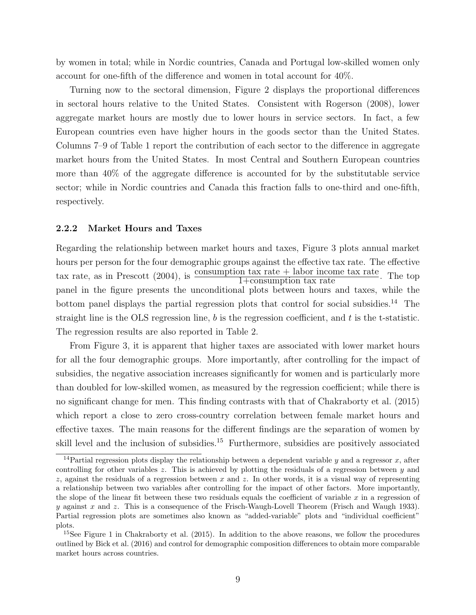by women in total; while in Nordic countries, Canada and Portugal low-skilled women only account for one-fifth of the difference and women in total account for 40%.

Turning now to the sectoral dimension, Figure 2 displays the proportional differences in sectoral hours relative to the United States. Consistent with Rogerson (2008), lower aggregate market hours are mostly due to lower hours in service sectors. In fact, a few European countries even have higher hours in the goods sector than the United States. Columns 7–9 of Table 1 report the contribution of each sector to the difference in aggregate market hours from the United States. In most Central and Southern European countries more than 40% of the aggregate difference is accounted for by the substitutable service sector; while in Nordic countries and Canada this fraction falls to one-third and one-fifth, respectively.

#### 2.2.2 Market Hours and Taxes

Regarding the relationship between market hours and taxes, Figure 3 plots annual market hours per person for the four demographic groups against the effective tax rate. The effective tax rate, as in Prescott (2004), is  $\frac{\text{consumption tax rate} + \text{labor income tax rate}}{1+\text{consumption tax rate}}$ . The top panel in the figure presents the unconditional plots between hours and taxes, while the bottom panel displays the partial regression plots that control for social subsidies.<sup>14</sup> The straight line is the OLS regression line,  $b$  is the regression coefficient, and  $t$  is the t-statistic. The regression results are also reported in Table 2.

From Figure 3, it is apparent that higher taxes are associated with lower market hours for all the four demographic groups. More importantly, after controlling for the impact of subsidies, the negative association increases significantly for women and is particularly more than doubled for low-skilled women, as measured by the regression coefficient; while there is no significant change for men. This finding contrasts with that of Chakraborty et al. (2015) which report a close to zero cross-country correlation between female market hours and effective taxes. The main reasons for the different findings are the separation of women by skill level and the inclusion of subsidies.<sup>15</sup> Furthermore, subsidies are positively associated

<sup>&</sup>lt;sup>14</sup>Partial regression plots display the relationship between a dependent variable y and a regressor x, after controlling for other variables  $z$ . This is achieved by plotting the residuals of a regression between  $y$  and  $z$ , against the residuals of a regression between x and z. In other words, it is a visual way of representing a relationship between two variables after controlling for the impact of other factors. More importantly, the slope of the linear fit between these two residuals equals the coefficient of variable  $x$  in a regression of y against x and z. This is a consequence of the Frisch-Waugh-Lovell Theorem (Frisch and Waugh 1933). Partial regression plots are sometimes also known as "added-variable" plots and "individual coefficient" plots.

<sup>&</sup>lt;sup>15</sup>See Figure 1 in Chakraborty et al. (2015). In addition to the above reasons, we follow the procedures outlined by Bick et al. (2016) and control for demographic composition differences to obtain more comparable market hours across countries.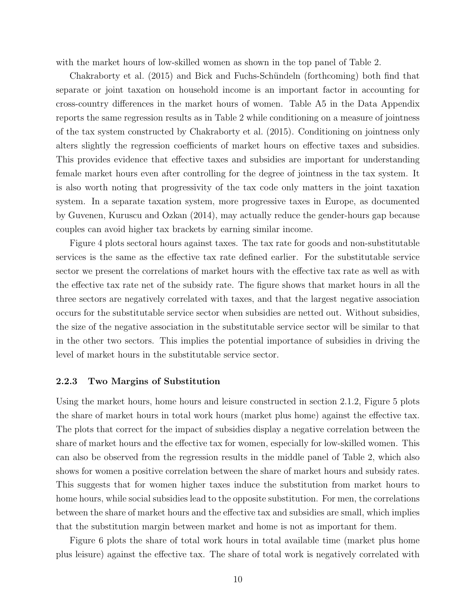with the market hours of low-skilled women as shown in the top panel of Table 2.

Chakraborty et al. (2015) and Bick and Fuchs-Schündeln (forthcoming) both find that separate or joint taxation on household income is an important factor in accounting for cross-country differences in the market hours of women. Table A5 in the Data Appendix reports the same regression results as in Table 2 while conditioning on a measure of jointness of the tax system constructed by Chakraborty et al. (2015). Conditioning on jointness only alters slightly the regression coefficients of market hours on effective taxes and subsidies. This provides evidence that effective taxes and subsidies are important for understanding female market hours even after controlling for the degree of jointness in the tax system. It is also worth noting that progressivity of the tax code only matters in the joint taxation system. In a separate taxation system, more progressive taxes in Europe, as documented by Guvenen, Kuruscu and Ozkan (2014), may actually reduce the gender-hours gap because couples can avoid higher tax brackets by earning similar income.

Figure 4 plots sectoral hours against taxes. The tax rate for goods and non-substitutable services is the same as the effective tax rate defined earlier. For the substitutable service sector we present the correlations of market hours with the effective tax rate as well as with the effective tax rate net of the subsidy rate. The figure shows that market hours in all the three sectors are negatively correlated with taxes, and that the largest negative association occurs for the substitutable service sector when subsidies are netted out. Without subsidies, the size of the negative association in the substitutable service sector will be similar to that in the other two sectors. This implies the potential importance of subsidies in driving the level of market hours in the substitutable service sector.

#### 2.2.3 Two Margins of Substitution

Using the market hours, home hours and leisure constructed in section 2.1.2, Figure 5 plots the share of market hours in total work hours (market plus home) against the effective tax. The plots that correct for the impact of subsidies display a negative correlation between the share of market hours and the effective tax for women, especially for low-skilled women. This can also be observed from the regression results in the middle panel of Table 2, which also shows for women a positive correlation between the share of market hours and subsidy rates. This suggests that for women higher taxes induce the substitution from market hours to home hours, while social subsidies lead to the opposite substitution. For men, the correlations between the share of market hours and the effective tax and subsidies are small, which implies that the substitution margin between market and home is not as important for them.

Figure 6 plots the share of total work hours in total available time (market plus home plus leisure) against the effective tax. The share of total work is negatively correlated with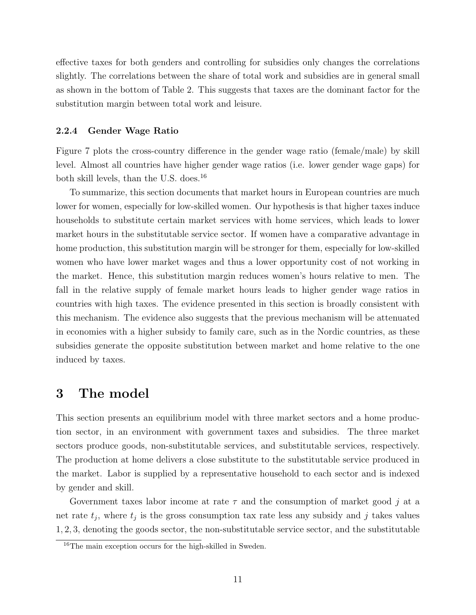effective taxes for both genders and controlling for subsidies only changes the correlations slightly. The correlations between the share of total work and subsidies are in general small as shown in the bottom of Table 2. This suggests that taxes are the dominant factor for the substitution margin between total work and leisure.

#### 2.2.4 Gender Wage Ratio

Figure 7 plots the cross-country difference in the gender wage ratio (female/male) by skill level. Almost all countries have higher gender wage ratios (i.e. lower gender wage gaps) for both skill levels, than the U.S. does.<sup>16</sup>

To summarize, this section documents that market hours in European countries are much lower for women, especially for low-skilled women. Our hypothesis is that higher taxes induce households to substitute certain market services with home services, which leads to lower market hours in the substitutable service sector. If women have a comparative advantage in home production, this substitution margin will be stronger for them, especially for low-skilled women who have lower market wages and thus a lower opportunity cost of not working in the market. Hence, this substitution margin reduces women's hours relative to men. The fall in the relative supply of female market hours leads to higher gender wage ratios in countries with high taxes. The evidence presented in this section is broadly consistent with this mechanism. The evidence also suggests that the previous mechanism will be attenuated in economies with a higher subsidy to family care, such as in the Nordic countries, as these subsidies generate the opposite substitution between market and home relative to the one induced by taxes.

## 3 The model

This section presents an equilibrium model with three market sectors and a home production sector, in an environment with government taxes and subsidies. The three market sectors produce goods, non-substitutable services, and substitutable services, respectively. The production at home delivers a close substitute to the substitutable service produced in the market. Labor is supplied by a representative household to each sector and is indexed by gender and skill.

Government taxes labor income at rate  $\tau$  and the consumption of market good j at a net rate  $t_j$ , where  $t_j$  is the gross consumption tax rate less any subsidy and j takes values 1, 2, 3, denoting the goods sector, the non-substitutable service sector, and the substitutable

<sup>&</sup>lt;sup>16</sup>The main exception occurs for the high-skilled in Sweden.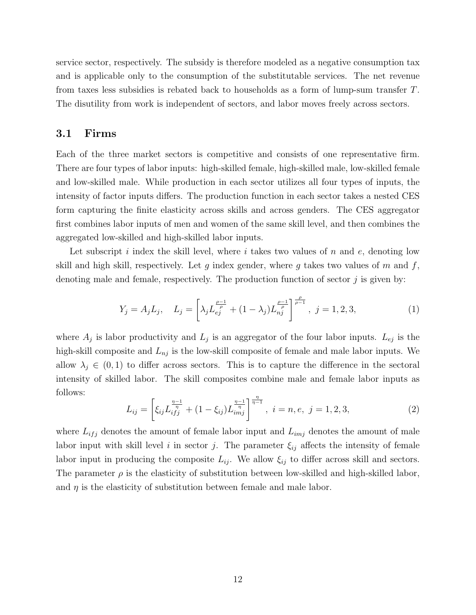service sector, respectively. The subsidy is therefore modeled as a negative consumption tax and is applicable only to the consumption of the substitutable services. The net revenue from taxes less subsidies is rebated back to households as a form of lump-sum transfer T. The disutility from work is independent of sectors, and labor moves freely across sectors.

## 3.1 Firms

Each of the three market sectors is competitive and consists of one representative firm. There are four types of labor inputs: high-skilled female, high-skilled male, low-skilled female and low-skilled male. While production in each sector utilizes all four types of inputs, the intensity of factor inputs differs. The production function in each sector takes a nested CES form capturing the finite elasticity across skills and across genders. The CES aggregator first combines labor inputs of men and women of the same skill level, and then combines the aggregated low-skilled and high-skilled labor inputs.

Let subscript i index the skill level, where i takes two values of n and e, denoting low skill and high skill, respectively. Let  $g$  index gender, where  $g$  takes two values of  $m$  and  $f$ , denoting male and female, respectively. The production function of sector  $j$  is given by:

$$
Y_j = A_j L_j, \quad L_j = \left[ \lambda_j L_{e_j}^{\frac{\rho-1}{\rho}} + (1 - \lambda_j) L_{nj}^{\frac{\rho-1}{\rho}} \right]^{\frac{\rho}{\rho-1}}, \ j = 1, 2, 3,
$$
 (1)

where  $A_j$  is labor productivity and  $L_j$  is an aggregator of the four labor inputs.  $L_{ej}$  is the high-skill composite and  $L_{nj}$  is the low-skill composite of female and male labor inputs. We allow  $\lambda_j \in (0,1)$  to differ across sectors. This is to capture the difference in the sectoral intensity of skilled labor. The skill composites combine male and female labor inputs as follows:

$$
L_{ij} = \left[\xi_{ij} L_{ifj}^{\frac{\eta-1}{\eta}} + (1 - \xi_{ij}) L_{imj}^{\frac{\eta-1}{\eta}}\right]^{\frac{\eta}{\eta-1}}, \ i = n, e, j = 1, 2, 3,
$$
\n(2)

where  $L_{ifj}$  denotes the amount of female labor input and  $L_{imj}$  denotes the amount of male labor input with skill level i in sector j. The parameter  $\xi_{ij}$  affects the intensity of female labor input in producing the composite  $L_{ij}$ . We allow  $\xi_{ij}$  to differ across skill and sectors. The parameter  $\rho$  is the elasticity of substitution between low-skilled and high-skilled labor, and  $\eta$  is the elasticity of substitution between female and male labor.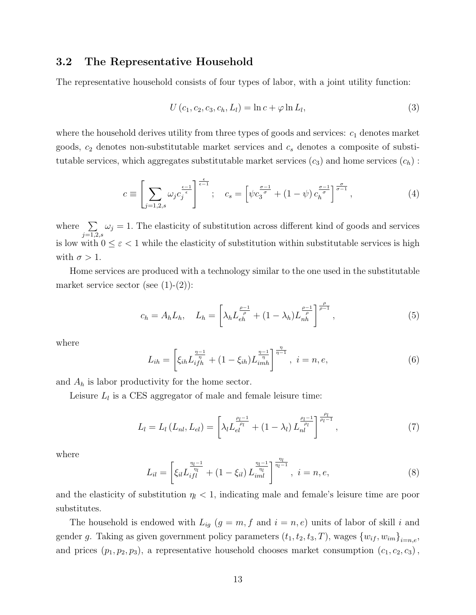## 3.2 The Representative Household

The representative household consists of four types of labor, with a joint utility function:

$$
U(c_1, c_2, c_3, c_h, L_l) = \ln c + \varphi \ln L_l,
$$
\n(3)

where the household derives utility from three types of goods and services:  $c_1$  denotes market goods,  $c_2$  denotes non-substitutable market services and  $c_s$  denotes a composite of substitutable services, which aggregates substitutable market services  $(c_3)$  and home services  $(c_h)$ :

$$
c \equiv \left[ \sum_{j=1,2,s} \omega_j c_j^{\frac{\epsilon-1}{\epsilon}} \right]^{\frac{\epsilon}{\epsilon-1}}; \quad c_s = \left[ \psi c_3^{\frac{\sigma-1}{\sigma}} + (1-\psi) c_h^{\frac{\sigma-1}{\sigma}} \right]^{\frac{\sigma}{\sigma-1}}, \tag{4}
$$

where  $\sum$  $_{j=1,2,s}$  $\omega_j = 1$ . The elasticity of substitution across different kind of goods and services is low with  $0 \leq \varepsilon < 1$  while the elasticity of substitution within substitutable services is high with  $\sigma > 1$ .

Home services are produced with a technology similar to the one used in the substitutable market service sector (see  $(1)-(2)$ ):

$$
c_h = A_h L_h, \quad L_h = \left[ \lambda_h L_{eh}^{\frac{\rho - 1}{\rho}} + (1 - \lambda_h) L_{nh}^{\frac{\rho - 1}{\rho}} \right]^{\frac{\rho}{\rho - 1}}, \tag{5}
$$

where

$$
L_{ih} = \left[\xi_{ih} L_{ifh}^{\frac{\eta-1}{\eta}} + (1 - \xi_{ih}) L_{imh}^{\frac{\eta-1}{\eta}}\right]^{\frac{\eta}{\eta-1}}, \ i = n, e,
$$
\n(6)

and  $A_h$  is labor productivity for the home sector.

Leisure  $L_l$  is a CES aggregator of male and female leisure time:

$$
L_l = L_l(L_{nl}, L_{el}) = \left[\lambda_l L_{el}^{\frac{\rho_l - 1}{\rho_l}} + (1 - \lambda_l) L_{nl}^{\frac{\rho_l - 1}{\rho_l}}\right]^{\frac{\rho_l}{\rho_l - 1}},\tag{7}
$$

where

$$
L_{il} = \left[ \xi_{il} L_{ifl}^{\frac{\eta_l - 1}{\eta_l}} + (1 - \xi_{il}) L_{iml}^{\frac{\eta_l - 1}{\eta_l}} \right]^{\frac{\eta_l}{\eta_l - 1}}, \ i = n, e,
$$
\n(8)

and the elasticity of substitution  $\eta_l < 1$ , indicating male and female's leisure time are poor substitutes.

The household is endowed with  $L_{ig}$   $(g = m, f$  and  $i = n, e$ ) units of labor of skill i and gender g. Taking as given government policy parameters  $(t_1, t_2, t_3, T)$ , wages  $\{w_{if}, w_{im}\}_{i=n,e}$ , and prices  $(p_1, p_2, p_3)$ , a representative household chooses market consumption  $(c_1, c_2, c_3)$ ,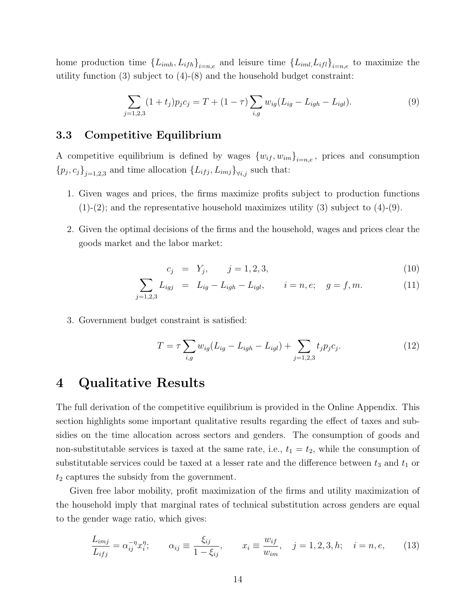home production time  $\{L_{imh}, L_{ifh}\}_{i=n,e}$  and leisure time  $\{L_{iml}, L_{ifl}\}_{i=n,e}$  to maximize the utility function  $(3)$  subject to  $(4)-(8)$  and the household budget constraint:

$$
\sum_{j=1,2,3} (1+t_j) p_j c_j = T + (1-\tau) \sum_{i,g} w_{ig} (L_{ig} - L_{igh} - L_{igl}). \tag{9}
$$

### 3.3 Competitive Equilibrium

A competitive equilibrium is defined by wages  ${w_{if}, w_{im}}_{i=n,e}$ , prices and consumption  ${p_j, c_j}_{j=1,2,3}$  and time allocation  ${L_{ifj}, L_{imj}}_{\forall i,j}$  such that:

- 1. Given wages and prices, the firms maximize profits subject to production functions  $(1)-(2)$ ; and the representative household maximizes utility  $(3)$  subject to  $(4)-(9)$ .
- 2. Given the optimal decisions of the firms and the household, wages and prices clear the goods market and the labor market:

$$
c_j = Y_j, \qquad j = 1, 2, 3,\tag{10}
$$

$$
\sum_{j=1,2,3} L_{igj} = L_{ig} - L_{igh} - L_{igl}, \qquad i = n, e; \quad g = f, m. \tag{11}
$$

3. Government budget constraint is satisfied:

$$
T = \tau \sum_{i,g} w_{ig} (L_{ig} - L_{igh} - L_{igl}) + \sum_{j=1,2,3} t_j p_j c_j.
$$
 (12)

## 4 Qualitative Results

The full derivation of the competitive equilibrium is provided in the Online Appendix. This section highlights some important qualitative results regarding the effect of taxes and subsidies on the time allocation across sectors and genders. The consumption of goods and non-substitutable services is taxed at the same rate, i.e.,  $t_1 = t_2$ , while the consumption of substitutable services could be taxed at a lesser rate and the difference between  $t_3$  and  $t_1$  or  $t_2$  captures the subsidy from the government.

Given free labor mobility, profit maximization of the firms and utility maximization of the household imply that marginal rates of technical substitution across genders are equal to the gender wage ratio, which gives:

$$
\frac{L_{imj}}{L_{ifj}} = \alpha_{ij}^{-\eta} x_i^{\eta}; \qquad \alpha_{ij} \equiv \frac{\xi_{ij}}{1 - \xi_{ij}}, \qquad x_i \equiv \frac{w_{if}}{w_{im}}, \quad j = 1, 2, 3, h; \quad i = n, e,
$$
 (13)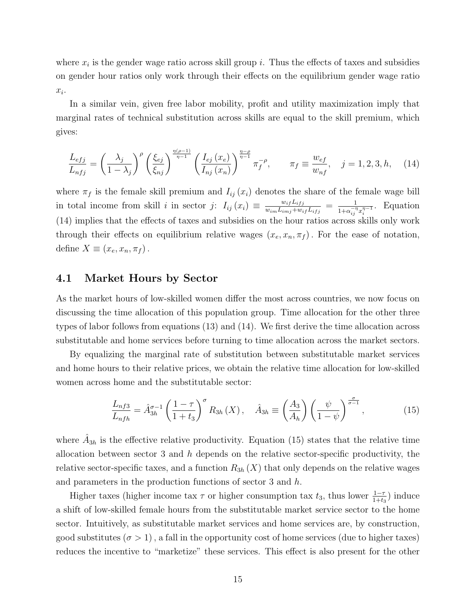where  $x_i$  is the gender wage ratio across skill group i. Thus the effects of taxes and subsidies on gender hour ratios only work through their effects on the equilibrium gender wage ratio  $x_i$ .

In a similar vein, given free labor mobility, profit and utility maximization imply that marginal rates of technical substitution across skills are equal to the skill premium, which gives:

$$
\frac{L_{efj}}{L_{nfj}} = \left(\frac{\lambda_j}{1 - \lambda_j}\right)^{\rho} \left(\frac{\xi_{ej}}{\xi_{nj}}\right)^{\frac{\eta(\rho - 1)}{\eta - 1}} \left(\frac{I_{ej}(x_e)}{I_{nf}(x_n)}\right)^{\frac{\eta - \rho}{\eta - 1}} \pi_f^{-\rho}, \qquad \pi_f \equiv \frac{w_{ef}}{w_{nf}}, \quad j = 1, 2, 3, h, \quad (14)
$$

where  $\pi_f$  is the female skill premium and  $I_{ij}(x_i)$  denotes the share of the female wage bill in total income from skill i in sector j:  $I_{ij}(x_i) \equiv \frac{w_{ij} L_{ijj}}{w_{ij} L_{ij} + w_{ij}}$  $\frac{w_{if}L_{ifj}}{w_{im}L_{imj}+w_{if}L_{ifj}} = \frac{1}{1+\alpha_{is}^{-\eta}}$  $\frac{1}{1+\alpha_{ij}^{-\eta}x_i^{\eta-1}}$ . Equation (14) implies that the effects of taxes and subsidies on the hour ratios across skills only work through their effects on equilibrium relative wages  $(x_e, x_n, \pi_f)$ . For the ease of notation, define  $X \equiv (x_e, x_n, \pi_f)$ .

### 4.1 Market Hours by Sector

As the market hours of low-skilled women differ the most across countries, we now focus on discussing the time allocation of this population group. Time allocation for the other three types of labor follows from equations (13) and (14). We first derive the time allocation across substitutable and home services before turning to time allocation across the market sectors.

By equalizing the marginal rate of substitution between substitutable market services and home hours to their relative prices, we obtain the relative time allocation for low-skilled women across home and the substitutable sector:

$$
\frac{L_{nfs}}{L_{nfh}} = \hat{A}_{3h}^{\sigma-1} \left(\frac{1-\tau}{1+t_3}\right)^{\sigma} R_{3h}\left(X\right), \quad \hat{A}_{3h} \equiv \left(\frac{A_3}{A_h}\right) \left(\frac{\psi}{1-\psi}\right)^{\frac{\sigma}{\sigma-1}},\tag{15}
$$

where  $\hat{A}_{3h}$  is the effective relative productivity. Equation (15) states that the relative time allocation between sector 3 and  $h$  depends on the relative sector-specific productivity, the relative sector-specific taxes, and a function  $R_{3h}(X)$  that only depends on the relative wages and parameters in the production functions of sector 3 and h.

Higher taxes (higher income tax  $\tau$  or higher consumption tax  $t_3$ , thus lower  $\frac{1-\tau}{1+t_3}$ ) induce a shift of low-skilled female hours from the substitutable market service sector to the home sector. Intuitively, as substitutable market services and home services are, by construction, good substitutes  $(\sigma > 1)$ , a fall in the opportunity cost of home services (due to higher taxes) reduces the incentive to "marketize" these services. This effect is also present for the other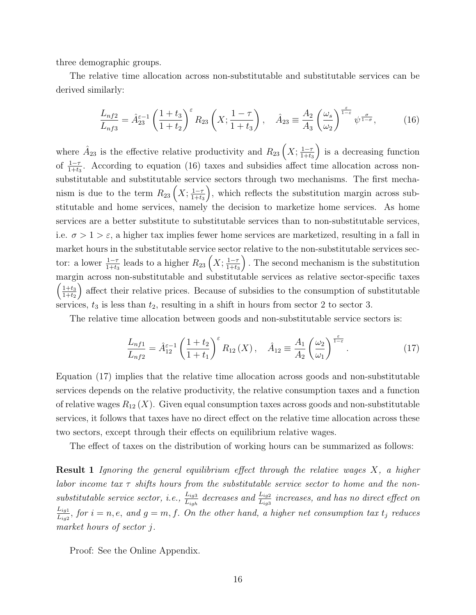three demographic groups.

The relative time allocation across non-substitutable and substitutable services can be derived similarly:

$$
\frac{L_{n+1}}{L_{n+1}} = \hat{A}_{23}^{\varepsilon - 1} \left( \frac{1 + t_3}{1 + t_2} \right)^{\varepsilon} R_{23} \left( X; \frac{1 - \tau}{1 + t_3} \right), \quad \hat{A}_{23} \equiv \frac{A_2}{A_3} \left( \frac{\omega_s}{\omega_2} \right)^{\frac{\varepsilon}{1 - \varepsilon}} \psi^{\frac{\sigma}{1 - \sigma}}, \tag{16}
$$

where  $\hat{A}_{23}$  is the effective relative productivity and  $R_{23}\left(X;\frac{1-\tau}{1+t\epsilon}\right)$  $1+t_3$ ) is a decreasing function of  $\frac{1-\tau}{1+t_3}$ . According to equation (16) taxes and subsidies affect time allocation across nonsubstitutable and substitutable service sectors through two mechanisms. The first mechanism is due to the term  $R_{23}\left(X;\frac{1-\tau}{1+t\epsilon}\right)$  $1+t_3$  , which reflects the substitution margin across substitutable and home services, namely the decision to marketize home services. As home services are a better substitute to substitutable services than to non-substitutable services, i.e.  $\sigma > 1 > \varepsilon$ , a higher tax implies fewer home services are marketized, resulting in a fall in market hours in the substitutable service sector relative to the non-substitutable services sector: a lower  $\frac{1-\tau}{1+t_3}$  leads to a higher  $R_{23}\left(X;\frac{1-\tau}{1+t_3}\right)$  $1+t_3$  . The second mechanism is the substitution margin across non-substitutable and substitutable services as relative sector-specific taxes  $\left( \frac{1+t_3}{1+t_3} \right)$  $1+t_2$  affect their relative prices. Because of subsidies to the consumption of substitutable services,  $t_3$  is less than  $t_2$ , resulting in a shift in hours from sector 2 to sector 3.

The relative time allocation between goods and non-substitutable service sectors is:

$$
\frac{L_{nf1}}{L_{nf2}} = \hat{A}_{12}^{\varepsilon - 1} \left( \frac{1 + t_2}{1 + t_1} \right)^{\varepsilon} R_{12}(X), \quad \hat{A}_{12} \equiv \frac{A_1}{A_2} \left( \frac{\omega_2}{\omega_1} \right)^{\frac{\varepsilon}{1 - \varepsilon}}.
$$
\n(17)

Equation (17) implies that the relative time allocation across goods and non-substitutable services depends on the relative productivity, the relative consumption taxes and a function of relative wages  $R_{12}(X)$ . Given equal consumption taxes across goods and non-substitutable services, it follows that taxes have no direct effect on the relative time allocation across these two sectors, except through their effects on equilibrium relative wages.

The effect of taxes on the distribution of working hours can be summarized as follows:

**Result 1** Ignoring the general equilibrium effect through the relative wages  $X$ , a higher labor income tax  $\tau$  shifts hours from the substitutable service sector to home and the nonsubstitutable service sector, i.e.,  $\frac{L_{ig3}}{L_{igh}}$  decreases and  $\frac{L_{ig2}}{L_{ig3}}$  increases, and has no direct effect on  $L_{ig1}$  $\frac{L_{ig1}}{L_{ig2}}$ , for  $i = n, e$ , and  $g = m, f$ . On the other hand, a higher net consumption tax  $t_j$  reduces market hours of sector j.

Proof: See the Online Appendix.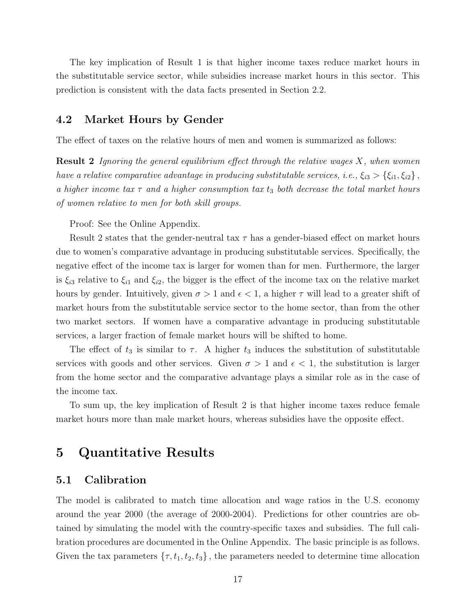The key implication of Result 1 is that higher income taxes reduce market hours in the substitutable service sector, while subsidies increase market hours in this sector. This prediction is consistent with the data facts presented in Section 2.2.

### 4.2 Market Hours by Gender

The effect of taxes on the relative hours of men and women is summarized as follows:

**Result 2** Ignoring the general equilibrium effect through the relative wages  $X$ , when women have a relative comparative advantage in producing substitutable services, i.e.,  $\xi_{i3} > \{\xi_{i1}, \xi_{i2}\}\,$ a higher income tax  $\tau$  and a higher consumption tax  $t_3$  both decrease the total market hours of women relative to men for both skill groups.

Proof: See the Online Appendix.

Result 2 states that the gender-neutral tax  $\tau$  has a gender-biased effect on market hours due to women's comparative advantage in producing substitutable services. Specifically, the negative effect of the income tax is larger for women than for men. Furthermore, the larger is  $\xi_{i3}$  relative to  $\xi_{i1}$  and  $\xi_{i2}$ , the bigger is the effect of the income tax on the relative market hours by gender. Intuitively, given  $\sigma > 1$  and  $\epsilon < 1$ , a higher  $\tau$  will lead to a greater shift of market hours from the substitutable service sector to the home sector, than from the other two market sectors. If women have a comparative advantage in producing substitutable services, a larger fraction of female market hours will be shifted to home.

The effect of  $t_3$  is similar to  $\tau$ . A higher  $t_3$  induces the substitution of substitutable services with goods and other services. Given  $\sigma > 1$  and  $\epsilon < 1$ , the substitution is larger from the home sector and the comparative advantage plays a similar role as in the case of the income tax.

To sum up, the key implication of Result 2 is that higher income taxes reduce female market hours more than male market hours, whereas subsidies have the opposite effect.

## 5 Quantitative Results

## 5.1 Calibration

The model is calibrated to match time allocation and wage ratios in the U.S. economy around the year 2000 (the average of 2000-2004). Predictions for other countries are obtained by simulating the model with the country-specific taxes and subsidies. The full calibration procedures are documented in the Online Appendix. The basic principle is as follows. Given the tax parameters  $\{\tau, t_1, t_2, t_3\}$ , the parameters needed to determine time allocation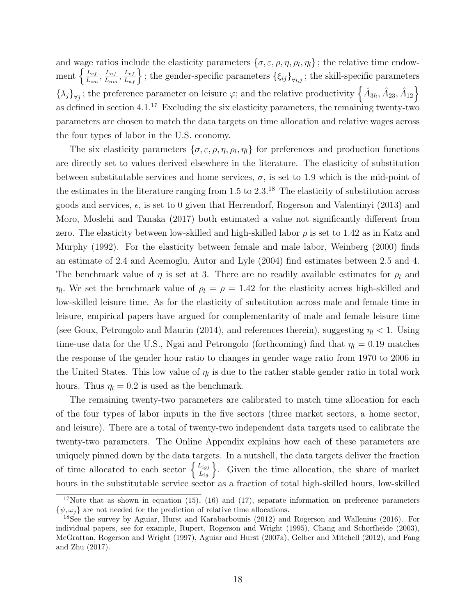and wage ratios include the elasticity parameters  $\{\sigma, \varepsilon, \rho, \eta, \rho_l, \eta_l\}$ ; the relative time endowment  $\left\{\frac{L_{ef}}{L}\right\}$  $\frac{L_{ef}}{L_{em}}, \frac{L_{nf}}{L_{nn}}$  $\left\{\frac{L_{nf}}{L_{nm}},\frac{L_{ef}}{L_{nf}}\right\}$ ; the gender-specific parameters  $\{\xi_{ij}\}_{\forall i,j}$ ; the skill-specific parameters  $\{\lambda_j\}_{\forall j}$ ; the preference parameter on leisure  $\varphi$ ; and the relative productivity  $\left\{\hat{A}_{3h},\hat{A}_{23},\hat{A}_{12}\right\}$ as defined in section  $4.1^{17}$  Excluding the six elasticity parameters, the remaining twenty-two parameters are chosen to match the data targets on time allocation and relative wages across the four types of labor in the U.S. economy.

The six elasticity parameters  $\{\sigma, \varepsilon, \rho, \eta, \rho_l, \eta_l\}$  for preferences and production functions are directly set to values derived elsewhere in the literature. The elasticity of substitution between substitutable services and home services,  $\sigma$ , is set to 1.9 which is the mid-point of the estimates in the literature ranging from  $1.5$  to  $2.3<sup>18</sup>$ . The elasticity of substitution across goods and services,  $\epsilon$ , is set to 0 given that Herrendorf, Rogerson and Valentinyi (2013) and Moro, Moslehi and Tanaka (2017) both estimated a value not significantly different from zero. The elasticity between low-skilled and high-skilled labor  $\rho$  is set to 1.42 as in Katz and Murphy (1992). For the elasticity between female and male labor, Weinberg (2000) finds an estimate of 2.4 and Acemoglu, Autor and Lyle (2004) find estimates between 2.5 and 4. The benchmark value of  $\eta$  is set at 3. There are no readily available estimates for  $\rho_l$  and  $\eta_l$ . We set the benchmark value of  $\rho_l = \rho = 1.42$  for the elasticity across high-skilled and low-skilled leisure time. As for the elasticity of substitution across male and female time in leisure, empirical papers have argued for complementarity of male and female leisure time (see Goux, Petrongolo and Maurin (2014), and references therein), suggesting  $\eta_l < 1$ . Using time-use data for the U.S., Ngai and Petrongolo (forthcoming) find that  $\eta_l = 0.19$  matches the response of the gender hour ratio to changes in gender wage ratio from 1970 to 2006 in the United States. This low value of  $\eta_l$  is due to the rather stable gender ratio in total work hours. Thus  $\eta_l = 0.2$  is used as the benchmark.

The remaining twenty-two parameters are calibrated to match time allocation for each of the four types of labor inputs in the five sectors (three market sectors, a home sector, and leisure). There are a total of twenty-two independent data targets used to calibrate the twenty-two parameters. The Online Appendix explains how each of these parameters are uniquely pinned down by the data targets. In a nutshell, the data targets deliver the fraction of time allocated to each sector  $\left\{\frac{L_{igj}}{L_{ig}}\right\}$ . Given the time allocation, the share of market hours in the substitutable service sector as a fraction of total high-skilled hours, low-skilled

<sup>&</sup>lt;sup>17</sup>Note that as shown in equation (15), (16) and (17), separate information on preference parameters  $\{\psi, \omega_i\}$  are not needed for the prediction of relative time allocations.

<sup>18</sup>See the survey by Aguiar, Hurst and Karabarbounis (2012) and Rogerson and Wallenius (2016). For individual papers, see for example, Rupert, Rogerson and Wright (1995), Chang and Schorfheide (2003), McGrattan, Rogerson and Wright (1997), Aguiar and Hurst (2007a), Gelber and Mitchell (2012), and Fang and Zhu (2017).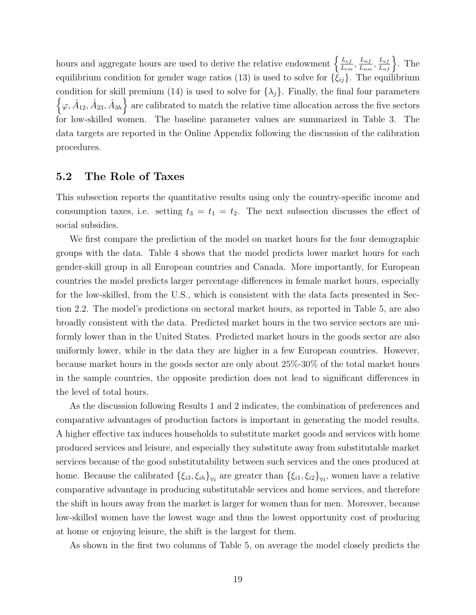hours and aggregate hours are used to derive the relative endowment  $\left\{\frac{L_{ef}}{L_{ef}}\right\}$  $\frac{L_{ef}}{L_{em}}, \frac{L_{nf}}{L_{nn}}$  $\frac{L_{nf}}{L_{nm}}, \frac{L_{ef}}{L_{nf}}\bigg\}$ . The equilibrium condition for gender wage ratios (13) is used to solve for  $\{\hat{\xi}_{ij}\}\)$ . The equilibrium condition for skill premium (14) is used to solve for  $\{\lambda_j\}$ . Finally, the final four parameters  $\{\varphi, \hat{A}_{12}, \hat{A}_{23}, \hat{A}_{3h}\}\$ are calibrated to match the relative time allocation across the five sectors for low-skilled women. The baseline parameter values are summarized in Table 3. The data targets are reported in the Online Appendix following the discussion of the calibration procedures.

### 5.2 The Role of Taxes

This subsection reports the quantitative results using only the country-specific income and consumption taxes, i.e. setting  $t_3 = t_1 = t_2$ . The next subsection discusses the effect of social subsidies.

We first compare the prediction of the model on market hours for the four demographic groups with the data. Table 4 shows that the model predicts lower market hours for each gender-skill group in all European countries and Canada. More importantly, for European countries the model predicts larger percentage differences in female market hours, especially for the low-skilled, from the U.S., which is consistent with the data facts presented in Section 2.2. The model's predictions on sectoral market hours, as reported in Table 5, are also broadly consistent with the data. Predicted market hours in the two service sectors are uniformly lower than in the United States. Predicted market hours in the goods sector are also uniformly lower, while in the data they are higher in a few European countries. However, because market hours in the goods sector are only about 25%-30% of the total market hours in the sample countries, the opposite prediction does not lead to significant differences in the level of total hours.

As the discussion following Results 1 and 2 indicates, the combination of preferences and comparative advantages of production factors is important in generating the model results. A higher effective tax induces households to substitute market goods and services with home produced services and leisure, and especially they substitute away from substitutable market services because of the good substitutability between such services and the ones produced at home. Because the calibrated  $\{\xi_{i3}, \xi_{ih}\}_{\forall i}$  are greater than  $\{\xi_{i1}, \xi_{i2}\}_{\forall i}$ , women have a relative comparative advantage in producing substitutable services and home services, and therefore the shift in hours away from the market is larger for women than for men. Moreover, because low-skilled women have the lowest wage and thus the lowest opportunity cost of producing at home or enjoying leisure, the shift is the largest for them.

As shown in the first two columns of Table 5, on average the model closely predicts the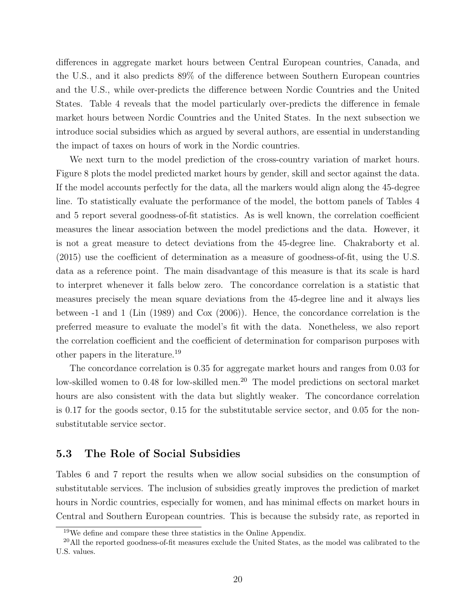differences in aggregate market hours between Central European countries, Canada, and the U.S., and it also predicts 89% of the difference between Southern European countries and the U.S., while over-predicts the difference between Nordic Countries and the United States. Table 4 reveals that the model particularly over-predicts the difference in female market hours between Nordic Countries and the United States. In the next subsection we introduce social subsidies which as argued by several authors, are essential in understanding the impact of taxes on hours of work in the Nordic countries.

We next turn to the model prediction of the cross-country variation of market hours. Figure 8 plots the model predicted market hours by gender, skill and sector against the data. If the model accounts perfectly for the data, all the markers would align along the 45-degree line. To statistically evaluate the performance of the model, the bottom panels of Tables 4 and 5 report several goodness-of-fit statistics. As is well known, the correlation coefficient measures the linear association between the model predictions and the data. However, it is not a great measure to detect deviations from the 45-degree line. Chakraborty et al. (2015) use the coefficient of determination as a measure of goodness-of-fit, using the U.S. data as a reference point. The main disadvantage of this measure is that its scale is hard to interpret whenever it falls below zero. The concordance correlation is a statistic that measures precisely the mean square deviations from the 45-degree line and it always lies between -1 and 1 (Lin (1989) and Cox (2006)). Hence, the concordance correlation is the preferred measure to evaluate the model's fit with the data. Nonetheless, we also report the correlation coefficient and the coefficient of determination for comparison purposes with other papers in the literature.<sup>19</sup>

The concordance correlation is 0.35 for aggregate market hours and ranges from 0.03 for low-skilled women to 0.48 for low-skilled men.<sup>20</sup> The model predictions on sectoral market hours are also consistent with the data but slightly weaker. The concordance correlation is 0.17 for the goods sector, 0.15 for the substitutable service sector, and 0.05 for the nonsubstitutable service sector.

### 5.3 The Role of Social Subsidies

Tables 6 and 7 report the results when we allow social subsidies on the consumption of substitutable services. The inclusion of subsidies greatly improves the prediction of market hours in Nordic countries, especially for women, and has minimal effects on market hours in Central and Southern European countries. This is because the subsidy rate, as reported in

 $19$ We define and compare these three statistics in the Online Appendix.

<sup>&</sup>lt;sup>20</sup>All the reported goodness-of-fit measures exclude the United States, as the model was calibrated to the U.S. values.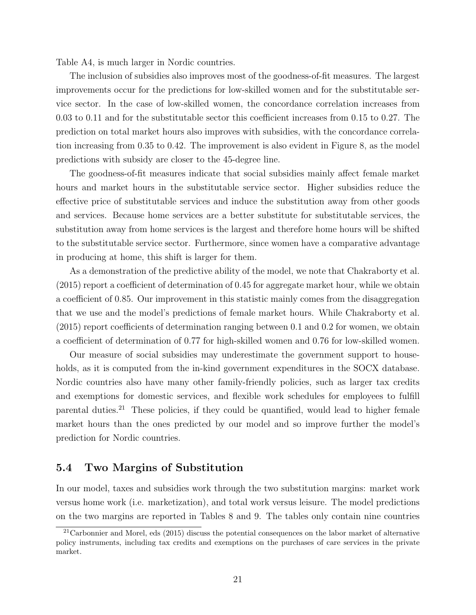Table A4, is much larger in Nordic countries.

The inclusion of subsidies also improves most of the goodness-of-fit measures. The largest improvements occur for the predictions for low-skilled women and for the substitutable service sector. In the case of low-skilled women, the concordance correlation increases from 0.03 to 0.11 and for the substitutable sector this coefficient increases from 0.15 to 0.27. The prediction on total market hours also improves with subsidies, with the concordance correlation increasing from 0.35 to 0.42. The improvement is also evident in Figure 8, as the model predictions with subsidy are closer to the 45-degree line.

The goodness-of-fit measures indicate that social subsidies mainly affect female market hours and market hours in the substitutable service sector. Higher subsidies reduce the effective price of substitutable services and induce the substitution away from other goods and services. Because home services are a better substitute for substitutable services, the substitution away from home services is the largest and therefore home hours will be shifted to the substitutable service sector. Furthermore, since women have a comparative advantage in producing at home, this shift is larger for them.

As a demonstration of the predictive ability of the model, we note that Chakraborty et al. (2015) report a coefficient of determination of 0.45 for aggregate market hour, while we obtain a coefficient of 0.85. Our improvement in this statistic mainly comes from the disaggregation that we use and the model's predictions of female market hours. While Chakraborty et al. (2015) report coefficients of determination ranging between 0.1 and 0.2 for women, we obtain a coefficient of determination of 0.77 for high-skilled women and 0.76 for low-skilled women.

Our measure of social subsidies may underestimate the government support to households, as it is computed from the in-kind government expenditures in the SOCX database. Nordic countries also have many other family-friendly policies, such as larger tax credits and exemptions for domestic services, and flexible work schedules for employees to fulfill parental duties.<sup>21</sup> These policies, if they could be quantified, would lead to higher female market hours than the ones predicted by our model and so improve further the model's prediction for Nordic countries.

### 5.4 Two Margins of Substitution

In our model, taxes and subsidies work through the two substitution margins: market work versus home work (i.e. marketization), and total work versus leisure. The model predictions on the two margins are reported in Tables 8 and 9. The tables only contain nine countries

 $21$ Carbonnier and Morel, eds (2015) discuss the potential consequences on the labor market of alternative policy instruments, including tax credits and exemptions on the purchases of care services in the private market.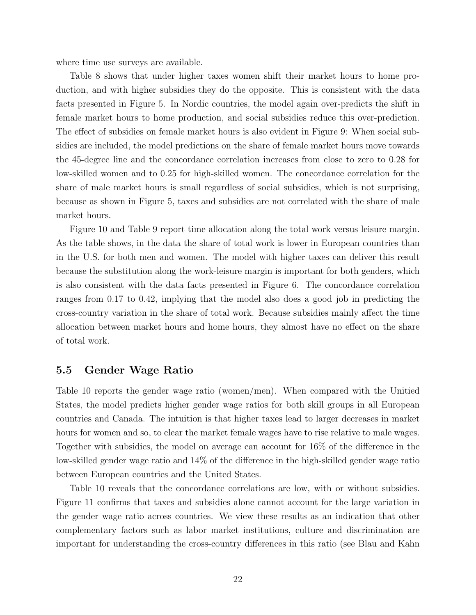where time use surveys are available.

Table 8 shows that under higher taxes women shift their market hours to home production, and with higher subsidies they do the opposite. This is consistent with the data facts presented in Figure 5. In Nordic countries, the model again over-predicts the shift in female market hours to home production, and social subsidies reduce this over-prediction. The effect of subsidies on female market hours is also evident in Figure 9: When social subsidies are included, the model predictions on the share of female market hours move towards the 45-degree line and the concordance correlation increases from close to zero to 0.28 for low-skilled women and to 0.25 for high-skilled women. The concordance correlation for the share of male market hours is small regardless of social subsidies, which is not surprising, because as shown in Figure 5, taxes and subsidies are not correlated with the share of male market hours.

Figure 10 and Table 9 report time allocation along the total work versus leisure margin. As the table shows, in the data the share of total work is lower in European countries than in the U.S. for both men and women. The model with higher taxes can deliver this result because the substitution along the work-leisure margin is important for both genders, which is also consistent with the data facts presented in Figure 6. The concordance correlation ranges from 0.17 to 0.42, implying that the model also does a good job in predicting the cross-country variation in the share of total work. Because subsidies mainly affect the time allocation between market hours and home hours, they almost have no effect on the share of total work.

### 5.5 Gender Wage Ratio

Table 10 reports the gender wage ratio (women/men). When compared with the Unitied States, the model predicts higher gender wage ratios for both skill groups in all European countries and Canada. The intuition is that higher taxes lead to larger decreases in market hours for women and so, to clear the market female wages have to rise relative to male wages. Together with subsidies, the model on average can account for 16% of the difference in the low-skilled gender wage ratio and 14% of the difference in the high-skilled gender wage ratio between European countries and the United States.

Table 10 reveals that the concordance correlations are low, with or without subsidies. Figure 11 confirms that taxes and subsidies alone cannot account for the large variation in the gender wage ratio across countries. We view these results as an indication that other complementary factors such as labor market institutions, culture and discrimination are important for understanding the cross-country differences in this ratio (see Blau and Kahn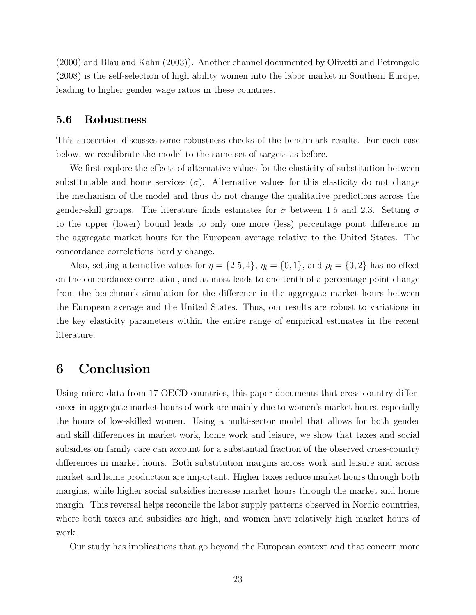(2000) and Blau and Kahn (2003)). Another channel documented by Olivetti and Petrongolo (2008) is the self-selection of high ability women into the labor market in Southern Europe, leading to higher gender wage ratios in these countries.

### 5.6 Robustness

This subsection discusses some robustness checks of the benchmark results. For each case below, we recalibrate the model to the same set of targets as before.

We first explore the effects of alternative values for the elasticity of substitution between substitutable and home services  $(\sigma)$ . Alternative values for this elasticity do not change the mechanism of the model and thus do not change the qualitative predictions across the gender-skill groups. The literature finds estimates for  $\sigma$  between 1.5 and 2.3. Setting  $\sigma$ to the upper (lower) bound leads to only one more (less) percentage point difference in the aggregate market hours for the European average relative to the United States. The concordance correlations hardly change.

Also, setting alternative values for  $\eta = \{2.5, 4\}$ ,  $\eta_l = \{0, 1\}$ , and  $\rho_l = \{0, 2\}$  has no effect on the concordance correlation, and at most leads to one-tenth of a percentage point change from the benchmark simulation for the difference in the aggregate market hours between the European average and the United States. Thus, our results are robust to variations in the key elasticity parameters within the entire range of empirical estimates in the recent literature.

## 6 Conclusion

Using micro data from 17 OECD countries, this paper documents that cross-country differences in aggregate market hours of work are mainly due to women's market hours, especially the hours of low-skilled women. Using a multi-sector model that allows for both gender and skill differences in market work, home work and leisure, we show that taxes and social subsidies on family care can account for a substantial fraction of the observed cross-country differences in market hours. Both substitution margins across work and leisure and across market and home production are important. Higher taxes reduce market hours through both margins, while higher social subsidies increase market hours through the market and home margin. This reversal helps reconcile the labor supply patterns observed in Nordic countries, where both taxes and subsidies are high, and women have relatively high market hours of work.

Our study has implications that go beyond the European context and that concern more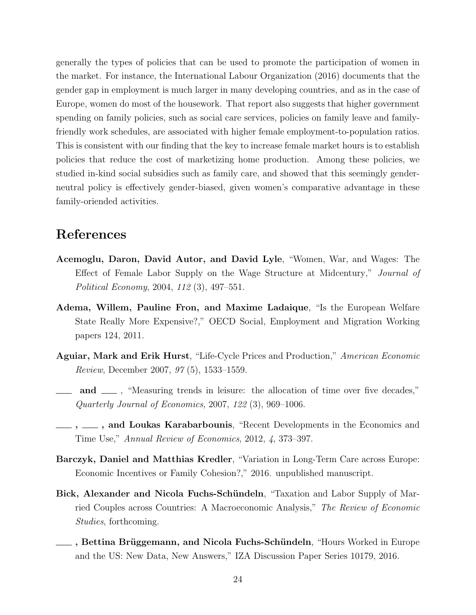generally the types of policies that can be used to promote the participation of women in the market. For instance, the International Labour Organization (2016) documents that the gender gap in employment is much larger in many developing countries, and as in the case of Europe, women do most of the housework. That report also suggests that higher government spending on family policies, such as social care services, policies on family leave and familyfriendly work schedules, are associated with higher female employment-to-population ratios. This is consistent with our finding that the key to increase female market hours is to establish policies that reduce the cost of marketizing home production. Among these policies, we studied in-kind social subsidies such as family care, and showed that this seemingly genderneutral policy is effectively gender-biased, given women's comparative advantage in these family-oriended activities.

## References

- Acemoglu, Daron, David Autor, and David Lyle, "Women, War, and Wages: The Effect of Female Labor Supply on the Wage Structure at Midcentury," Journal of Political Economy, 2004, 112 (3), 497–551.
- Adema, Willem, Pauline Fron, and Maxime Ladaique, "Is the European Welfare State Really More Expensive?," OECD Social, Employment and Migration Working papers 124, 2011.
- Aguiar, Mark and Erik Hurst, "Life-Cycle Prices and Production," American Economic Review, December 2007, 97 (5), 1533–1559.
- and  $\mu$ , "Measuring trends in leisure: the allocation of time over five decades," Quarterly Journal of Economics, 2007, 122 (3), 969–1006.
- $\ldots$ ,  $\ldots$ , and Loukas Karabarbounis, "Recent Developments in the Economics and Time Use," Annual Review of Economics, 2012, 4, 373–397.
- Barczyk, Daniel and Matthias Kredler, "Variation in Long-Term Care across Europe: Economic Incentives or Family Cohesion?," 2016. unpublished manuscript.
- Bick, Alexander and Nicola Fuchs-Schündeln, "Taxation and Labor Supply of Married Couples across Countries: A Macroeconomic Analysis," The Review of Economic Studies, forthcoming.
- **∟ Findity Brüggemann, and Nicola Fuchs-Schündeln**, "Hours Worked in Europe and the US: New Data, New Answers," IZA Discussion Paper Series 10179, 2016.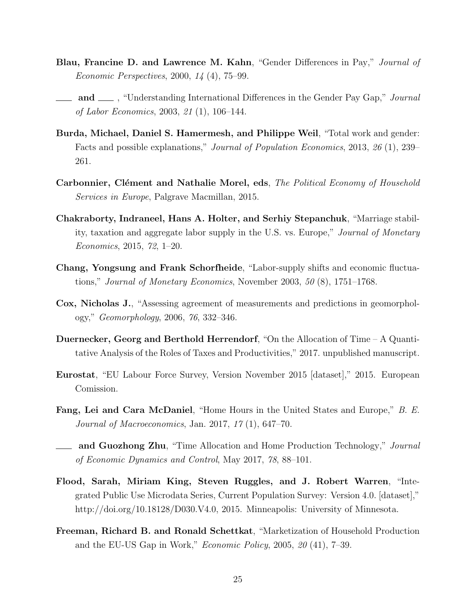- Blau, Francine D. and Lawrence M. Kahn, "Gender Differences in Pay," Journal of Economic Perspectives, 2000, 14 (4), 75–99.
- $\Box$  and  $\Box$ , "Understanding International Differences in the Gender Pay Gap," *Journal* of Labor Economics, 2003, 21 (1), 106–144.
- Burda, Michael, Daniel S. Hamermesh, and Philippe Weil, "Total work and gender: Facts and possible explanations," Journal of Population Economics, 2013, 26 (1), 239– 261.
- Carbonnier, Clément and Nathalie Morel, eds, The Political Economy of Household Services in Europe, Palgrave Macmillan, 2015.
- Chakraborty, Indraneel, Hans A. Holter, and Serhiy Stepanchuk, "Marriage stability, taxation and aggregate labor supply in the U.S. vs. Europe," Journal of Monetary Economics, 2015, 72, 1–20.
- Chang, Yongsung and Frank Schorfheide, "Labor-supply shifts and economic fluctuations," Journal of Monetary Economics, November 2003, 50 (8), 1751–1768.
- Cox, Nicholas J., "Assessing agreement of measurements and predictions in geomorphology," Geomorphology, 2006, 76, 332–346.
- Duernecker, Georg and Berthold Herrendorf, "On the Allocation of Time A Quantitative Analysis of the Roles of Taxes and Productivities," 2017. unpublished manuscript.
- Eurostat, "EU Labour Force Survey, Version November 2015 [dataset]," 2015. European Comission.
- **Fang, Lei and Cara McDaniel**, "Home Hours in the United States and Europe," B. E. Journal of Macroeconomics, Jan. 2017, 17 (1), 647–70.
- **and Guozhong Zhu**, "Time Allocation and Home Production Technology," *Journal* of Economic Dynamics and Control, May 2017, 78, 88–101.
- Flood, Sarah, Miriam King, Steven Ruggles, and J. Robert Warren, "Integrated Public Use Microdata Series, Current Population Survey: Version 4.0. [dataset]," http://doi.org/10.18128/D030.V4.0, 2015. Minneapolis: University of Minnesota.
- Freeman, Richard B. and Ronald Schettkat, "Marketization of Household Production and the EU-US Gap in Work," Economic Policy, 2005, 20 (41), 7–39.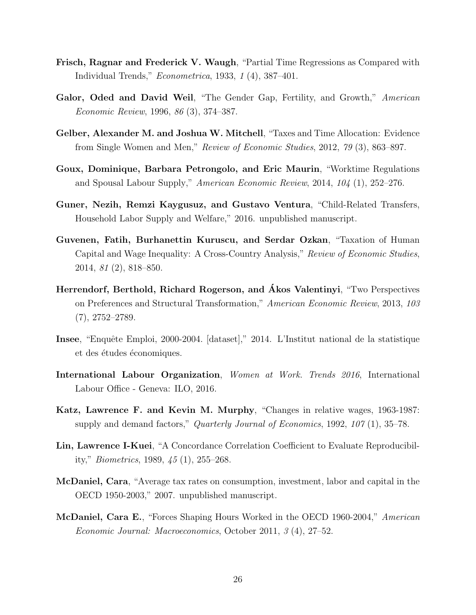- Frisch, Ragnar and Frederick V. Waugh, "Partial Time Regressions as Compared with Individual Trends," Econometrica, 1933, 1 (4), 387–401.
- Galor, Oded and David Weil, "The Gender Gap, Fertility, and Growth," American Economic Review, 1996, 86 (3), 374–387.
- Gelber, Alexander M. and Joshua W. Mitchell, "Taxes and Time Allocation: Evidence from Single Women and Men," Review of Economic Studies, 2012, 79 (3), 863–897.
- Goux, Dominique, Barbara Petrongolo, and Eric Maurin, "Worktime Regulations and Spousal Labour Supply," American Economic Review, 2014, 104 (1), 252–276.
- Guner, Nezih, Remzi Kaygusuz, and Gustavo Ventura, "Child-Related Transfers, Household Labor Supply and Welfare," 2016. unpublished manuscript.
- Guvenen, Fatih, Burhanettin Kuruscu, and Serdar Ozkan, "Taxation of Human Capital and Wage Inequality: A Cross-Country Analysis," Review of Economic Studies, 2014, 81 (2), 818–850.
- Herrendorf, Berthold, Richard Rogerson, and Akos Valentinyi, "Two Perspectives on Preferences and Structural Transformation," American Economic Review, 2013, 103 (7), 2752–2789.
- Insee, "Enquête Emploi, 2000-2004. [dataset]," 2014. L'Institut national de la statistique et des études économiques.
- International Labour Organization, Women at Work. Trends 2016, International Labour Office - Geneva: ILO, 2016.
- Katz, Lawrence F. and Kevin M. Murphy, "Changes in relative wages, 1963-1987: supply and demand factors," *Quarterly Journal of Economics*, 1992, 107(1), 35–78.
- Lin, Lawrence I-Kuei, "A Concordance Correlation Coefficient to Evaluate Reproducibility," Biometrics, 1989, 45 (1), 255–268.
- McDaniel, Cara, "Average tax rates on consumption, investment, labor and capital in the OECD 1950-2003," 2007. unpublished manuscript.
- McDaniel, Cara E., "Forces Shaping Hours Worked in the OECD 1960-2004," American Economic Journal: Macroeconomics, October 2011, 3 (4), 27–52.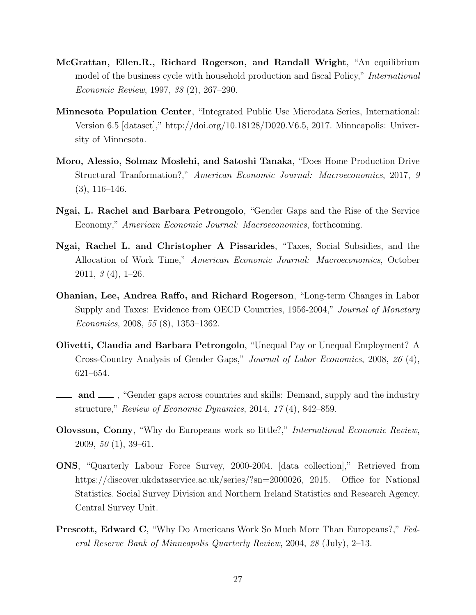- McGrattan, Ellen.R., Richard Rogerson, and Randall Wright, "An equilibrium model of the business cycle with household production and fiscal Policy," International Economic Review, 1997, 38 (2), 267–290.
- Minnesota Population Center, "Integrated Public Use Microdata Series, International: Version 6.5 [dataset]," http://doi.org/10.18128/D020.V6.5, 2017. Minneapolis: University of Minnesota.
- Moro, Alessio, Solmaz Moslehi, and Satoshi Tanaka, "Does Home Production Drive Structural Tranformation?," American Economic Journal: Macroeconomics, 2017, 9  $(3), 116-146.$
- Ngai, L. Rachel and Barbara Petrongolo, "Gender Gaps and the Rise of the Service Economy," American Economic Journal: Macroeconomics, forthcoming.
- Ngai, Rachel L. and Christopher A Pissarides, "Taxes, Social Subsidies, and the Allocation of Work Time," American Economic Journal: Macroeconomics, October  $2011, 3(4), 1-26.$
- Ohanian, Lee, Andrea Raffo, and Richard Rogerson, "Long-term Changes in Labor Supply and Taxes: Evidence from OECD Countries, 1956-2004," Journal of Monetary Economics, 2008, 55 (8), 1353–1362.
- Olivetti, Claudia and Barbara Petrongolo, "Unequal Pay or Unequal Employment? A Cross-Country Analysis of Gender Gaps," Journal of Labor Economics, 2008, 26 (4), 621–654.
- and <sub>in</sub> "Gender gaps across countries and skills: Demand, supply and the industry structure," Review of Economic Dynamics, 2014, 17 (4), 842–859.
- Olovsson, Conny, "Why do Europeans work so little?," International Economic Review, 2009,  $50(1)$ , 39–61.
- ONS, "Quarterly Labour Force Survey, 2000-2004. [data collection]," Retrieved from https://discover.ukdataservice.ac.uk/series/?sn=2000026, 2015. Office for National Statistics. Social Survey Division and Northern Ireland Statistics and Research Agency. Central Survey Unit.
- Prescott, Edward C, "Why Do Americans Work So Much More Than Europeans?," Federal Reserve Bank of Minneapolis Quarterly Review, 2004, 28 (July), 2–13.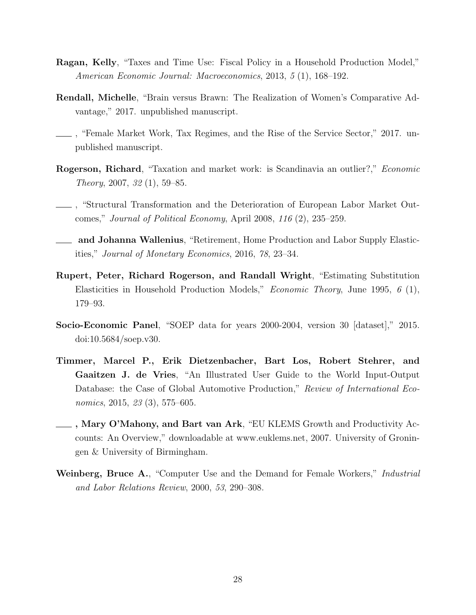- Ragan, Kelly, "Taxes and Time Use: Fiscal Policy in a Household Production Model," American Economic Journal: Macroeconomics, 2013, 5 (1), 168–192.
- Rendall, Michelle, "Brain versus Brawn: The Realization of Women's Comparative Advantage," 2017. unpublished manuscript.
- , "Female Market Work, Tax Regimes, and the Rise of the Service Sector," 2017. unpublished manuscript.
- Rogerson, Richard, "Taxation and market work: is Scandinavia an outlier?," Economic Theory, 2007, 32 (1), 59–85.
- , "Structural Transformation and the Deterioration of European Labor Market Outcomes," Journal of Political Economy, April 2008, 116 (2), 235–259.
- and Johanna Wallenius, "Retirement, Home Production and Labor Supply Elasticities," Journal of Monetary Economics, 2016, 78, 23–34.
- Rupert, Peter, Richard Rogerson, and Randall Wright, "Estimating Substitution Elasticities in Household Production Models," Economic Theory, June 1995, 6 (1), 179–93.
- Socio-Economic Panel, "SOEP data for years 2000-2004, version 30 [dataset]," 2015. doi:10.5684/soep.v30.
- Timmer, Marcel P., Erik Dietzenbacher, Bart Los, Robert Stehrer, and Gaaitzen J. de Vries, "An Illustrated User Guide to the World Input-Output Database: the Case of Global Automotive Production," Review of International Economics, 2015, 23 (3), 575–605.
- , Mary O'Mahony, and Bart van Ark, "EU KLEMS Growth and Productivity Accounts: An Overview," downloadable at www.euklems.net, 2007. University of Groningen & University of Birmingham.
- Weinberg, Bruce A., "Computer Use and the Demand for Female Workers," *Industrial* and Labor Relations Review, 2000, 53, 290–308.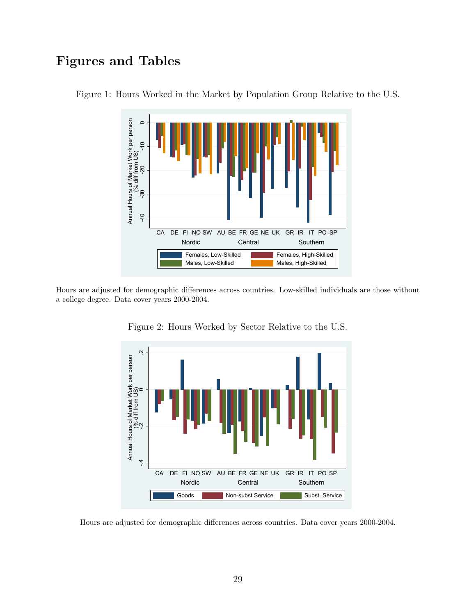# Figures and Tables



Figure 1: Hours Worked in the Market by Population Group Relative to the U.S.

Hours are adjusted for demographic differences across countries. Low-skilled individuals are those without a college degree. Data cover years 2000-2004.



Figure 2: Hours Worked by Sector Relative to the U.S.

Hours are adjusted for demographic differences across countries. Data cover years 2000-2004.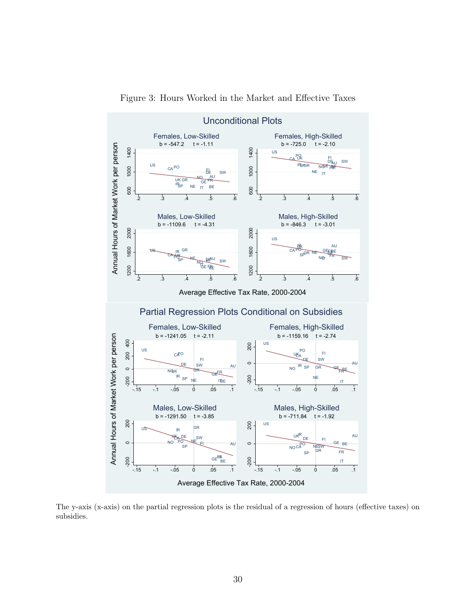

Figure 3: Hours Worked in the Market and Effective Taxes

The y-axis (x-axis) on the partial regression plots is the residual of a regression of hours (effective taxes) on subsidies.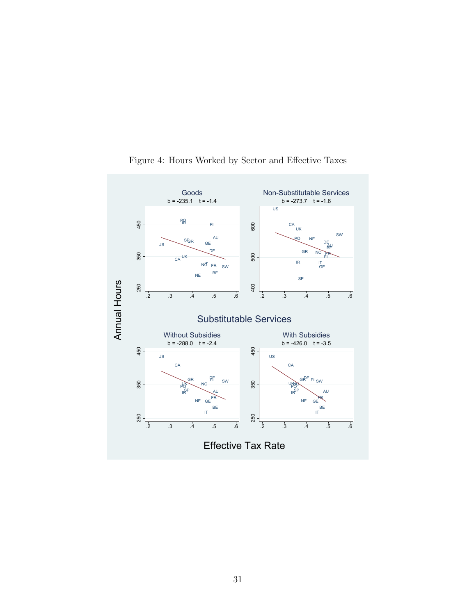

Figure 4: Hours Worked by Sector and Effective Taxes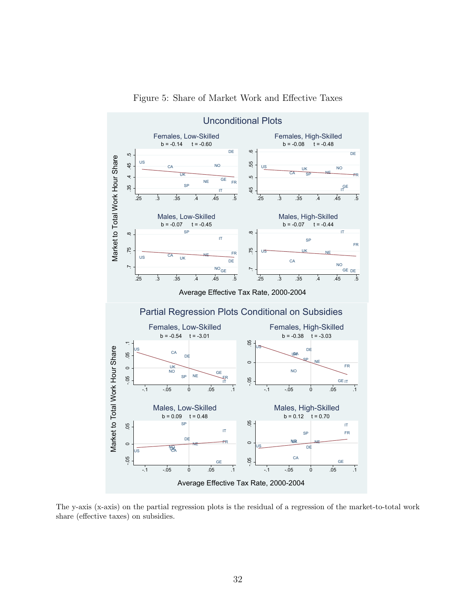

Figure 5: Share of Market Work and Effective Taxes

The y-axis (x-axis) on the partial regression plots is the residual of a regression of the market-to-total work share (effective taxes) on subsidies.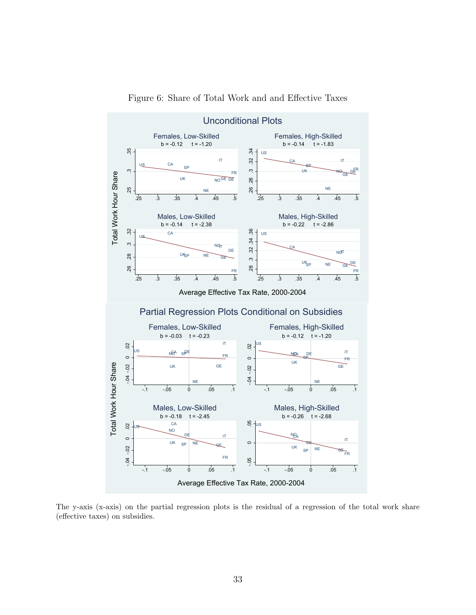

Figure 6: Share of Total Work and and Effective Taxes

The y-axis (x-axis) on the partial regression plots is the residual of a regression of the total work share (effective taxes) on subsidies.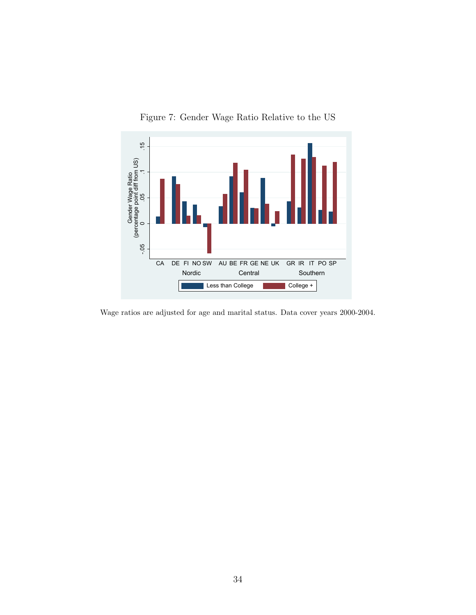

Figure 7: Gender Wage Ratio Relative to the US

Wage ratios are adjusted for age and marital status. Data cover years 2000-2004.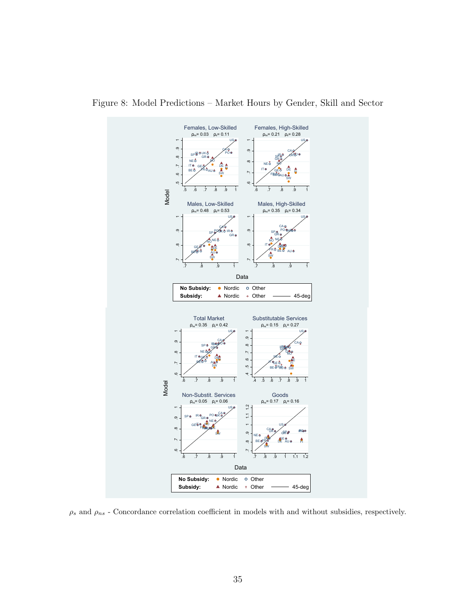

Figure 8: Model Predictions – Market Hours by Gender, Skill and Sector

 $\rho_s$  and  $\rho_{ns}$  - Concordance correlation coefficient in models with and without subsidies, respectively.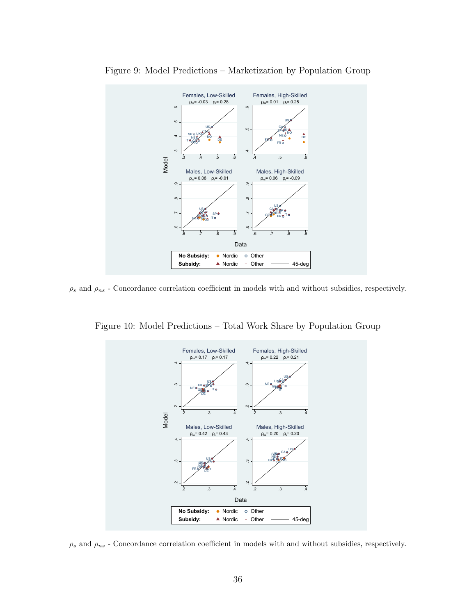

Figure 9: Model Predictions – Marketization by Population Group

 $\rho_s$  and  $\rho_{ns}$  - Concordance correlation coefficient in models with and without subsidies, respectively.

Figure 10: Model Predictions – Total Work Share by Population Group



 $\rho_s$  and  $\rho_{ns}$  - Concordance correlation coefficient in models with and without subsidies, respectively.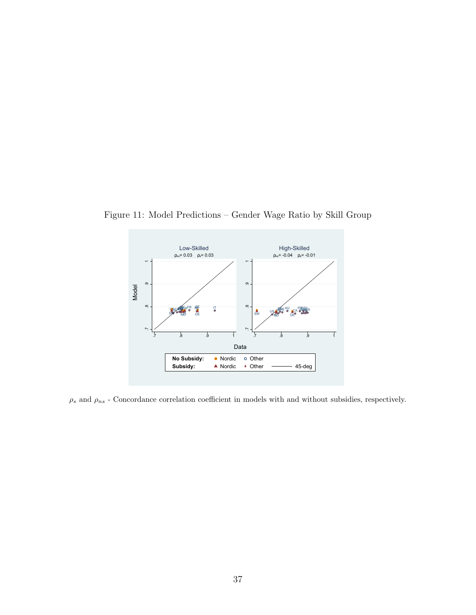

Figure 11: Model Predictions – Gender Wage Ratio by Skill Group

 $\rho_s$  and  $\rho_{ns}$  - Concordance correlation coefficient in models with and without subsidies, respectively.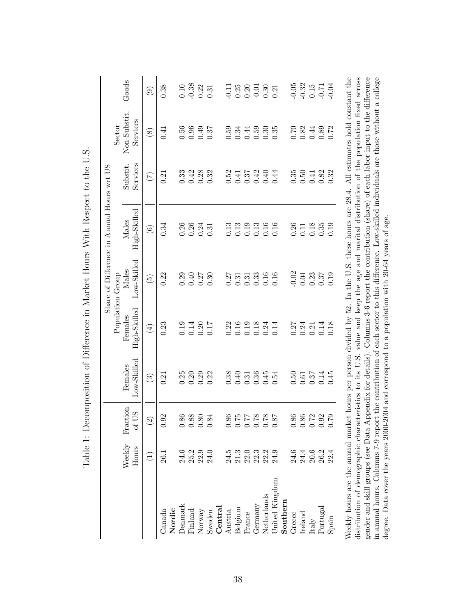|                                                                                                                                                                                   |                 |                                              |                        |                                                              | Population Group     | Share of Difference in Annual Hours wrt US |                      | Sector                   |                        |
|-----------------------------------------------------------------------------------------------------------------------------------------------------------------------------------|-----------------|----------------------------------------------|------------------------|--------------------------------------------------------------|----------------------|--------------------------------------------|----------------------|--------------------------|------------------------|
|                                                                                                                                                                                   | Weekly<br>Hours | Fraction<br>SO <sub>1</sub><br>$\mathcal{L}$ | Low-Skilled<br>Females | High-Skilled<br>Females                                      | Low-Skilled<br>Males | High-Skilled<br>Males                      | Services<br>Substit. | Non-Substit.<br>Services | Goods                  |
|                                                                                                                                                                                   | Ξ               | $\widehat{\Omega}$                           | $\odot$                | $\bigoplus$                                                  | $\widetilde{\Theta}$ | $\circledcirc$                             | $(\zeta)$            | $\circledast$            | $\widehat{\mathbf{e}}$ |
| Canada                                                                                                                                                                            | 26.I            | 0.92                                         | 0.21                   | 0.23                                                         | 0.22                 | 0.34                                       | 0.21                 | 0.41                     | 0.38                   |
| Nordic                                                                                                                                                                            |                 |                                              |                        |                                                              |                      |                                            |                      |                          |                        |
| Denmark                                                                                                                                                                           | 24.6            | 86<br>ö                                      | 0.25                   | 0.19                                                         | 0.29                 | 0.26                                       | 0.33                 | 0.56                     | 0.10                   |
| Finland                                                                                                                                                                           | 25.2            | $0.88\,$                                     | 0.20                   | 0.14                                                         | 0.40                 | 0.26                                       | 0.42                 | 0.96                     | $-0.38$                |
| Normy                                                                                                                                                                             | 22.9            | 0.80                                         | 0.29                   | 0.20                                                         | 0.27                 | 0.24                                       | 0.28                 | 0.49                     | 0.22                   |
| Sweden                                                                                                                                                                            | 24.0            | 84<br>$\circ$                                | 0.22                   | 0.17                                                         | 0.30                 | 0.31                                       | 0.32                 | 0.37                     | 0.31                   |
| $\rm{Central}$                                                                                                                                                                    |                 |                                              |                        |                                                              |                      |                                            |                      |                          |                        |
| Austria                                                                                                                                                                           | 24.5            | 86<br>$\dot{\circ}$                          | 0.38                   | 0.22                                                         | 0.27                 | 0.13                                       | 0.52                 | 0.59                     | $-0.11$                |
| Belgium                                                                                                                                                                           | 21.3            | $0.75\,$                                     | 0.40                   | 0.16                                                         | 0.31                 | 0.13                                       | 0.41                 | 0.34                     | $0.25\,$               |
| France                                                                                                                                                                            | 22.0            | $\begin{array}{c} 0.77 \\ 77.0 \end{array}$  | 0.31                   | 0.19                                                         | 0.31                 | 0.19                                       | 0.37                 | 0.44                     | 0.20                   |
| Germany                                                                                                                                                                           | 22.3            |                                              | 0.36                   | 0.18                                                         | 0.33                 | 0.13                                       | 0.42                 | 0.59                     | $-0.01$                |
| Netherlands                                                                                                                                                                       | 22.2            | $0.78\,$                                     | 0.45                   | 0.24                                                         | 0.16                 | 0.16                                       | 0.40                 | 0.30                     | 0.30                   |
| United Kingdom                                                                                                                                                                    | 24.9            | 78<br>$\dot{\circ}$                          | 0.54                   | 0.14                                                         | 0.16                 | 0.16                                       | 0.44                 | 0.35                     | 0.21                   |
| Southern                                                                                                                                                                          |                 |                                              |                        |                                                              |                      |                                            |                      |                          |                        |
| Greece                                                                                                                                                                            | 24.6            | 0.86                                         | 0.50                   | 0.27                                                         | $-0.02$              | 0.26                                       | 0.35                 | 0.70                     | $-0.05$                |
| $I$ reland                                                                                                                                                                        | 24.4            | 0.86                                         | 0.61                   | 0.24                                                         | 0.04                 | 0.11                                       | 0.50                 | 0.82                     | $-0.32$                |
| Italy                                                                                                                                                                             | 20.6            | $0.72\,$                                     | 0.37                   | 0.21                                                         | 0.23                 | 0.18                                       | 0.41                 | 0.44                     | 0.15                   |
| Portugal                                                                                                                                                                          | 26.2            | 0.92                                         | 0.14                   | 0.14                                                         | 0.37                 | 0.35                                       | 0.82                 | 0.89                     | $-0.71$                |
| Spain                                                                                                                                                                             | 22.4            | 0.79                                         | 0.45                   | 0.18                                                         | 0.19                 | 0.19                                       | 0.32                 | 0.72                     | $-0.04$                |
| Weekly hours are the annual market hours per person divided by 52. In the U.S. these hours are $28.4$ . All estimates hold constant the                                           |                 |                                              |                        |                                                              |                      |                                            |                      |                          |                        |
| distribution of demographic characteristics to its U.S. value and keep the age and marital distribution of the population fixed across                                            |                 |                                              |                        |                                                              |                      |                                            |                      |                          |                        |
| gender and skill groups (see Data Appendix for details). Columns 3-6 report the contribution (share) of each labor input to the difference                                        |                 |                                              |                        |                                                              |                      |                                            |                      |                          |                        |
| in annual hours. Columns 7-9 report the contribution of each sector to this difference. Low-skilled individuals are those without a college<br>degree. Data cover the years 2000- |                 |                                              |                        | 2004 and correspond to a population with 20-64 years of age. |                      |                                            |                      |                          |                        |
|                                                                                                                                                                                   |                 |                                              |                        |                                                              |                      |                                            |                      |                          |                        |

Table 1: Decomposition of Difference in Market Hours With Respect to the U.S. Table 1: Decomposition of Difference in Market Hours With Respect to the U.S.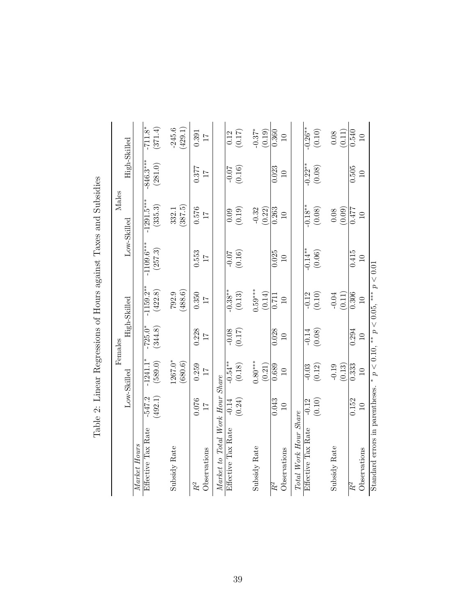|                                  |                          |                          | Females                  |                                             |                          | Males                    |                          |                          |
|----------------------------------|--------------------------|--------------------------|--------------------------|---------------------------------------------|--------------------------|--------------------------|--------------------------|--------------------------|
|                                  |                          | Low-Skilled              |                          | High-Skilled                                |                          | Low-Skilled              | High-Skilled             |                          |
| Market Hours                     |                          |                          |                          |                                             |                          |                          |                          |                          |
| Effective Tax Rate               | $-547.2$<br>(492.1)      | $-1241.1*$<br>(589.0)    | $-725.0*$<br>(344.8)     | $-1159.2***$<br>(422.8)                     | $-1109.6***$<br>(257.3)  | $-1291.5***$<br>(335.3)  | $-846.3***$<br>(281.0)   | $-711.8*$<br>(371.4)     |
| Subsidy Rate                     |                          | $1267.0*$<br>(680.6)     |                          | $792.9$<br>(488.6)                          |                          | (387.5)<br>332.1         |                          | $-245.6$<br>(429.1)      |
| Observations<br>$R^2$            | 0.076<br>$\overline{11}$ | 0.259<br>$\overline{11}$ | 0.228<br>$\overline{11}$ | 0.350<br>$\overline{11}$                    | 0.553<br>$\overline{11}$ | 0.576<br>$\overline{11}$ | 0.377<br>$\overline{11}$ | 0.391<br>$\overline{11}$ |
| Market to Total Work Hour Share  |                          |                          |                          |                                             |                          |                          |                          |                          |
| Effective Tax Rate               | $-0.14$<br>(0.24)        | $-0.54***$<br>(0.18)     | $-0.08$<br>(0.17)        | $-0.38**$<br>$\left(0.13\right)$            | (0.16)                   | (0.19)<br>0.09           | $-0.07$<br>(0.16)        | (0.17)<br>0.12           |
| Subsidy Rate                     |                          | $0.80***$<br>(0.21)      |                          | $0.59***$<br>(0.14)                         |                          | $-0.32$<br>(0.22)        |                          | $-0.37*$<br>(0.19)       |
| Observations<br>$\overline{R}^2$ | 0.043<br>$\Xi$           | 0.689<br>$\square$       | 0.028<br>$\overline{10}$ | 0.711<br>$\Xi$                              | 0.025<br>$\overline{10}$ | 0.263<br>$\Box$          | 0.023<br>$\overline{10}$ | 0.360<br>$\Box$          |
| Total Work Hour Share            |                          |                          |                          |                                             |                          |                          |                          |                          |
| Effective Tax Rate               | (0.10)<br>$-0.12$        | $(0.12)$<br>$-0.03$      | (0.08)<br>$-0.14$        | $(0.10)$<br>$-0.12$                         | $-0.14**$<br>$(0.06)$    | $-0.18**$<br>(0.08)      | $-0.22**$<br>(0.08)      | $-0.26**$<br>(0.10)      |
| Subsidy Rate                     |                          | $-0.19$<br>(0.13)        |                          | (0.11)<br>$-0.04$                           |                          | (0.09)<br>$0.08\,$       |                          | (0.11)<br>0.08           |
| Observations<br>$\overline{R}^2$ | 0.152<br>$\Xi$           | 0.333<br>$\overline{10}$ | 0.294<br>$\overline{10}$ | $\frac{1}{0.306}$<br>$\overline{10}$        | 0.415<br>$\overline{10}$ | 0.477<br>$\overline{10}$ | 0.505<br>$\overline{10}$ | 0.540<br>$\Xi$           |
| Standard errors in parentheses.  |                          |                          |                          | $p < 0.10$ , ** $p < 0.05$ , *** $p < 0.01$ |                          |                          |                          |                          |

Table 2: Linear Regressions of Hours against Taxes and Subsidies Table 2: Linear Regressions of Hours against Taxes and Subsidies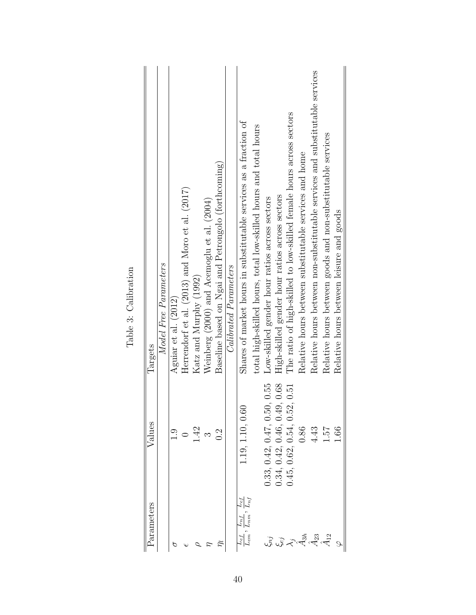| Parameters                                                                                                                        | $\rm {Values}$                           | Targets                                                                      |
|-----------------------------------------------------------------------------------------------------------------------------------|------------------------------------------|------------------------------------------------------------------------------|
|                                                                                                                                   |                                          | Model Free Parameters                                                        |
|                                                                                                                                   | $\frac{6}{11}$                           | Aguiar et al. (2012)                                                         |
|                                                                                                                                   |                                          | Herrendorf et al. $(2013)$ and Moro et al. $(2017)$                          |
|                                                                                                                                   | 1.42                                     | Katz and Murphy (1992)                                                       |
|                                                                                                                                   | ີ $\frac{3}{2}$                          | Weinberg (2000) and Acemoglu et al. (2004)                                   |
|                                                                                                                                   |                                          | Baseline based on Ngai and Petrongolo (forthcoming)                          |
|                                                                                                                                   |                                          | Calibrated Parameters                                                        |
| $L_{nf}$<br>$L_{nm}$<br>$t^u$<br>$L_{em}$                                                                                         | 1.19, 1.10, 0.6                          | Shares of market hours in substitutable services as a fraction of            |
|                                                                                                                                   |                                          | total high-skilled hours, total low-skilled hours and total hours            |
|                                                                                                                                   | 0.33, 0.42, 0.47, 0.50, 0.55             | Low-skilled gender hour ratios across sectors                                |
|                                                                                                                                   | $0.42, 0.46, 0.49, 0.68$<br>0.34,        | High-skilled gender hour ratios across sectors                               |
|                                                                                                                                   | $\,0.62,\,0.54,\,0.52,\,0.51\,$<br>0.45, | The ratio of high-skilled to low-skilled female hours across sectors         |
| $\mathbb{Z}$ $\mathbb{Z}$ $\mathbb{Z}$ $\mathbb{Z}$ $\mathbb{Z}$ $\mathbb{Z}$ $\mathbb{Z}$ $\mathbb{Z}$ $\mathbb{Z}$ $\mathbb{Z}$ | 0.86                                     | Relative hours between substitutable services and home                       |
|                                                                                                                                   | 4.43                                     | Relative hours between non-substitutable services and substitutable services |
|                                                                                                                                   | 1.57                                     | Relative hours between goods and non-substitutable services                  |
|                                                                                                                                   | 1.66                                     | Relative hours between leisure and goods                                     |

Table 3: Calibration Table 3: Calibration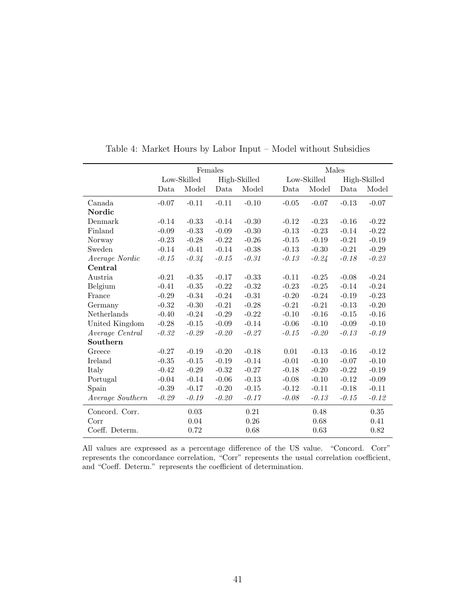|                  |         | Females     |         |              |         |             | Males   |              |
|------------------|---------|-------------|---------|--------------|---------|-------------|---------|--------------|
|                  |         | Low-Skilled |         | High-Skilled |         | Low-Skilled |         | High-Skilled |
|                  | Data    | Model       | Data    | Model        | Data    | Model       | Data    | Model        |
| Canada           | $-0.07$ | $-0.11$     | $-0.11$ | $-0.10$      | $-0.05$ | $-0.07$     | $-0.13$ | $-0.07$      |
| Nordic           |         |             |         |              |         |             |         |              |
| Denmark          | $-0.14$ | $-0.33$     | $-0.14$ | $-0.30$      | $-0.12$ | $-0.23$     | $-0.16$ | $-0.22$      |
| Finland          | $-0.09$ | $-0.33$     | $-0.09$ | $-0.30$      | $-0.13$ | $-0.23$     | $-0.14$ | $-0.22$      |
| <b>Norway</b>    | $-0.23$ | $-0.28$     | $-0.22$ | $-0.26$      | $-0.15$ | $-0.19$     | $-0.21$ | $-0.19$      |
| Sweden           | $-0.14$ | $-0.41$     | $-0.14$ | $-0.38$      | $-0.13$ | $-0.30$     | $-0.21$ | $-0.29$      |
| Average Nordic   | $-0.15$ | $-0.34$     | $-0.15$ | $-0.31$      | $-0.13$ | $-0.24$     | $-0.18$ | $-0.23$      |
| Central          |         |             |         |              |         |             |         |              |
| Austria          | $-0.21$ | $-0.35$     | $-0.17$ | $-0.33$      | $-0.11$ | $-0.25$     | $-0.08$ | $-0.24$      |
| Belgium          | $-0.41$ | $-0.35$     | $-0.22$ | $-0.32$      | $-0.23$ | $-0.25$     | $-0.14$ | $-0.24$      |
| France           | $-0.29$ | $-0.34$     | $-0.24$ | $-0.31$      | $-0.20$ | $-0.24$     | $-0.19$ | $-0.23$      |
| Germany          | $-0.32$ | $-0.30$     | $-0.21$ | $-0.28$      | $-0.21$ | $-0.21$     | $-0.13$ | $-0.20$      |
| Netherlands      | $-0.40$ | $-0.24$     | $-0.29$ | $-0.22$      | $-0.10$ | $-0.16$     | $-0.15$ | $-0.16$      |
| United Kingdom   | $-0.28$ | $-0.15$     | $-0.09$ | $-0.14$      | $-0.06$ | $-0.10$     | $-0.09$ | $-0.10$      |
| Average Central  | $-0.32$ | $-0.29$     | $-0.20$ | $-0.27$      | $-0.15$ | $-0.20$     | $-0.13$ | $-0.19$      |
| Southern         |         |             |         |              |         |             |         |              |
| Greece           | $-0.27$ | $-0.19$     | $-0.20$ | $-0.18$      | 0.01    | $-0.13$     | $-0.16$ | $-0.12$      |
| Ireland          | $-0.35$ | $-0.15$     | $-0.19$ | $-0.14$      | $-0.01$ | $-0.10$     | $-0.07$ | $-0.10$      |
| Italy            | $-0.42$ | $-0.29$     | $-0.32$ | $-0.27$      | $-0.18$ | $-0.20$     | $-0.22$ | $-0.19$      |
| Portugal         | $-0.04$ | $-0.14$     | $-0.06$ | $-0.13$      | $-0.08$ | $-0.10$     | $-0.12$ | $-0.09$      |
| Spain            | $-0.39$ | $-0.17$     | $-0.20$ | $-0.15$      | $-0.12$ | $-0.11$     | $-0.18$ | $-0.11$      |
| Average Southern | $-0.29$ | $-0.19$     | $-0.20$ | $-0.17$      | $-0.08$ | $-0.13$     | $-0.15$ | $-0.12$      |
| Concord. Corr.   |         | 0.03        |         | 0.21         |         | 0.48        |         | 0.35         |
| Corr             |         | 0.04        |         | $0.26\,$     |         | 0.68        |         | 0.41         |
| Coeff. Determ.   |         | 0.72        |         | 0.68         |         | 0.63        |         | 0.82         |

Table 4: Market Hours by Labor Input – Model without Subsidies

All values are expressed as a percentage difference of the US value. "Concord. Corr" represents the concordance correlation, "Corr" represents the usual correlation coefficient, and "Coeff. Determ." represents the coefficient of determination.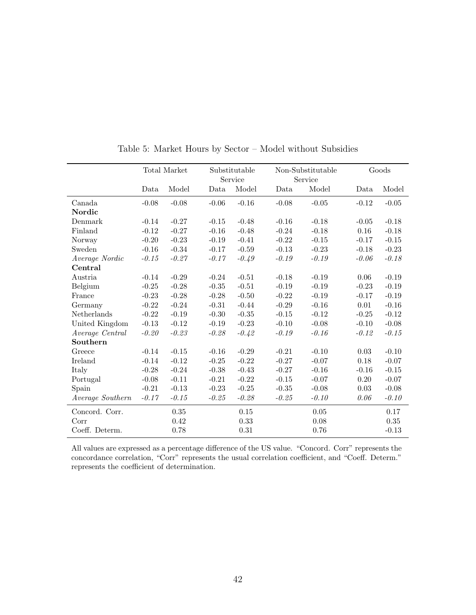|                  |         | Total Market |         | Substitutable<br>Service |         | Non-Substitutable<br>Service |         | Goods   |
|------------------|---------|--------------|---------|--------------------------|---------|------------------------------|---------|---------|
|                  | Data    | Model        | Data    | Model                    | Data    | Model                        | Data    | Model   |
| Canada           | $-0.08$ | $-0.08$      | $-0.06$ | $-0.16$                  | $-0.08$ | $-0.05$                      | $-0.12$ | $-0.05$ |
| Nordic           |         |              |         |                          |         |                              |         |         |
| Denmark          | $-0.14$ | $-0.27$      | $-0.15$ | $-0.48$                  | $-0.16$ | $-0.18$                      | $-0.05$ | $-0.18$ |
| Finland          | $-0.12$ | $-0.27$      | $-0.16$ | $-0.48$                  | $-0.24$ | $-0.18$                      | 0.16    | $-0.18$ |
| Norway           | $-0.20$ | $-0.23$      | $-0.19$ | $-0.41$                  | $-0.22$ | $-0.15$                      | $-0.17$ | $-0.15$ |
| Sweden           | $-0.16$ | $-0.34$      | $-0.17$ | $-0.59$                  | $-0.13$ | $-0.23$                      | $-0.18$ | $-0.23$ |
| Average Nordic   | $-0.15$ | $-0.27$      | $-0.17$ | $-0.49$                  | $-0.19$ | $-0.19$                      | $-0.06$ | $-0.18$ |
| Central          |         |              |         |                          |         |                              |         |         |
| Austria          | $-0.14$ | $-0.29$      | $-0.24$ | $-0.51$                  | $-0.18$ | $-0.19$                      | 0.06    | $-0.19$ |
| Belgium          | $-0.25$ | $-0.28$      | $-0.35$ | $-0.51$                  | $-0.19$ | $-0.19$                      | $-0.23$ | $-0.19$ |
| France           | $-0.23$ | $-0.28$      | $-0.28$ | $-0.50$                  | $-0.22$ | $-0.19$                      | $-0.17$ | $-0.19$ |
| Germany          | $-0.22$ | $-0.24$      | $-0.31$ | $-0.44$                  | $-0.29$ | $-0.16$                      | 0.01    | $-0.16$ |
| Netherlands      | $-0.22$ | $-0.19$      | $-0.30$ | $-0.35$                  | $-0.15$ | $-0.12$                      | $-0.25$ | $-0.12$ |
| United Kingdom   | $-0.13$ | $-0.12$      | $-0.19$ | $-0.23$                  | $-0.10$ | $-0.08$                      | $-0.10$ | $-0.08$ |
| Average Central  | $-0.20$ | $-0.23$      | $-0.28$ | $-0.42$                  | $-0.19$ | $-0.16$                      | $-0.12$ | $-0.15$ |
| Southern         |         |              |         |                          |         |                              |         |         |
| Greece           | $-0.14$ | $-0.15$      | $-0.16$ | $-0.29$                  | $-0.21$ | $-0.10$                      | 0.03    | $-0.10$ |
| Ireland          | $-0.14$ | $-0.12$      | $-0.25$ | $-0.22$                  | $-0.27$ | $-0.07$                      | 0.18    | $-0.07$ |
| Italy            | $-0.28$ | $-0.24$      | $-0.38$ | $-0.43$                  | $-0.27$ | $-0.16$                      | $-0.16$ | $-0.15$ |
| Portugal         | $-0.08$ | $-0.11$      | $-0.21$ | $-0.22$                  | $-0.15$ | $-0.07$                      | 0.20    | $-0.07$ |
| Spain            | $-0.21$ | $-0.13$      | $-0.23$ | $-0.25$                  | $-0.35$ | $-0.08$                      | 0.03    | $-0.08$ |
| Average Southern | $-0.17$ | $-0.15$      | $-0.25$ | $-0.28$                  | $-0.25$ | $-0.10$                      | 0.06    | $-0.10$ |
| Concord. Corr.   |         | $0.35\,$     |         | 0.15                     |         | 0.05                         |         | 0.17    |
| Corr             |         | 0.42         |         | 0.33                     |         | 0.08                         |         | 0.35    |
| Coeff. Determ.   |         | 0.78         |         | 0.31                     |         | 0.76                         |         | $-0.13$ |

Table 5: Market Hours by Sector – Model without Subsidies

All values are expressed as a percentage difference of the US value. "Concord. Corr" represents the concordance correlation, "Corr" represents the usual correlation coefficient, and "Coeff. Determ." represents the coefficient of determination.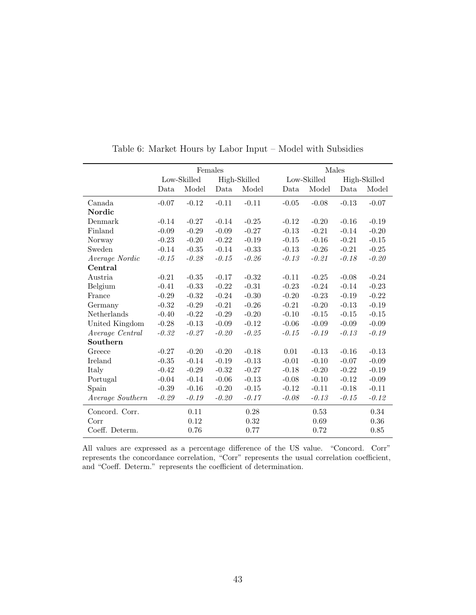|                  |         | Females     |         |              |         |             | Males   |              |
|------------------|---------|-------------|---------|--------------|---------|-------------|---------|--------------|
|                  |         | Low-Skilled |         | High-Skilled |         | Low-Skilled |         | High-Skilled |
|                  | Data    | Model       | Data    | Model        | Data    | Model       | Data    | Model        |
| Canada           | $-0.07$ | $-0.12$     | $-0.11$ | $-0.11$      | $-0.05$ | $-0.08$     | $-0.13$ | $-0.07$      |
| Nordic           |         |             |         |              |         |             |         |              |
| Denmark          | $-0.14$ | $-0.27$     | $-0.14$ | $-0.25$      | $-0.12$ | $-0.20$     | $-0.16$ | $-0.19$      |
| Finland          | $-0.09$ | $-0.29$     | $-0.09$ | $-0.27$      | $-0.13$ | $-0.21$     | $-0.14$ | $-0.20$      |
| Norway           | $-0.23$ | $-0.20$     | $-0.22$ | $-0.19$      | $-0.15$ | $-0.16$     | $-0.21$ | $-0.15$      |
| Sweden           | $-0.14$ | $-0.35$     | $-0.14$ | $-0.33$      | $-0.13$ | $-0.26$     | $-0.21$ | $-0.25$      |
| Average Nordic   | $-0.15$ | $-0.28$     | $-0.15$ | $-0.26$      | $-0.13$ | $-0.21$     | $-0.18$ | $-0.20$      |
| Central          |         |             |         |              |         |             |         |              |
| Austria          | $-0.21$ | $-0.35$     | $-0.17$ | $-0.32$      | $-0.11$ | $-0.25$     | $-0.08$ | $-0.24$      |
| Belgium          | $-0.41$ | $-0.33$     | $-0.22$ | $-0.31$      | $-0.23$ | $-0.24$     | $-0.14$ | $-0.23$      |
| France           | $-0.29$ | $-0.32$     | $-0.24$ | $-0.30$      | $-0.20$ | $-0.23$     | $-0.19$ | $-0.22$      |
| Germany          | $-0.32$ | $-0.29$     | $-0.21$ | $-0.26$      | $-0.21$ | $-0.20$     | $-0.13$ | $-0.19$      |
| Netherlands      | $-0.40$ | $-0.22$     | $-0.29$ | $-0.20$      | $-0.10$ | $-0.15$     | $-0.15$ | $-0.15$      |
| United Kingdom   | $-0.28$ | $-0.13$     | $-0.09$ | $-0.12$      | $-0.06$ | $-0.09$     | $-0.09$ | $-0.09$      |
| Average Central  | $-0.32$ | $-0.27$     | $-0.20$ | $-0.25$      | $-0.15$ | $-0.19$     | $-0.13$ | $-0.19$      |
| Southern         |         |             |         |              |         |             |         |              |
| Greece           | $-0.27$ | $-0.20$     | $-0.20$ | $-0.18$      | 0.01    | $-0.13$     | $-0.16$ | $-0.13$      |
| Ireland          | $-0.35$ | $-0.14$     | $-0.19$ | $-0.13$      | $-0.01$ | $-0.10$     | $-0.07$ | $-0.09$      |
| Italy            | $-0.42$ | $-0.29$     | $-0.32$ | $-0.27$      | $-0.18$ | $-0.20$     | $-0.22$ | $-0.19$      |
| Portugal         | $-0.04$ | $-0.14$     | $-0.06$ | $-0.13$      | $-0.08$ | $-0.10$     | $-0.12$ | $-0.09$      |
| Spain            | $-0.39$ | $-0.16$     | $-0.20$ | $-0.15$      | $-0.12$ | $-0.11$     | $-0.18$ | $-0.11$      |
| Average Southern | $-0.29$ | $-0.19$     | $-0.20$ | $-0.17$      | $-0.08$ | $-0.13$     | $-0.15$ | $-0.12$      |
| Concord. Corr.   |         | 0.11        |         | 0.28         |         | 0.53        |         | 0.34         |
| Corr             |         | 0.12        |         | 0.32         |         | 0.69        |         | 0.36         |
| Coeff. Determ.   |         | 0.76        |         | 0.77         |         | 0.72        |         | 0.85         |

Table 6: Market Hours by Labor Input – Model with Subsidies

All values are expressed as a percentage difference of the US value. "Concord. Corr" represents the concordance correlation, "Corr" represents the usual correlation coefficient, and "Coeff. Determ." represents the coefficient of determination.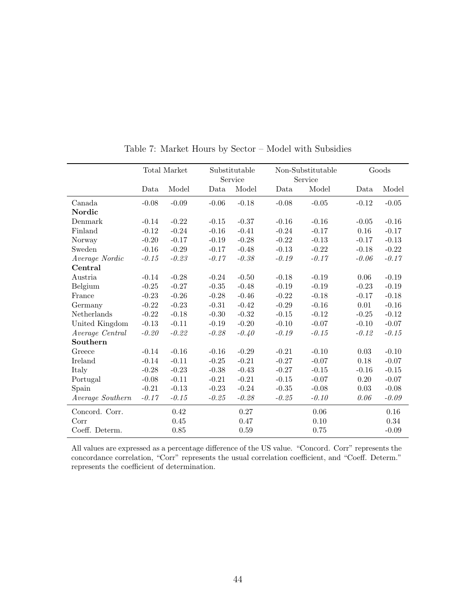|                  |         | Total Market |         | Substitutable<br>Service |         | Non-Substitutable<br>Service |         | Goods   |
|------------------|---------|--------------|---------|--------------------------|---------|------------------------------|---------|---------|
|                  | Data    | Model        | Data    | Model                    | Data    | Model                        | Data    | Model   |
| Canada           | $-0.08$ | $-0.09$      | $-0.06$ | $-0.18$                  | $-0.08$ | $-0.05$                      | $-0.12$ | $-0.05$ |
| Nordic           |         |              |         |                          |         |                              |         |         |
| Denmark          | $-0.14$ | $-0.22$      | $-0.15$ | $-0.37$                  | $-0.16$ | $-0.16$                      | $-0.05$ | $-0.16$ |
| Finland          | $-0.12$ | $-0.24$      | $-0.16$ | $-0.41$                  | $-0.24$ | $-0.17$                      | 0.16    | $-0.17$ |
| Norway           | $-0.20$ | $-0.17$      | $-0.19$ | $-0.28$                  | $-0.22$ | $-0.13$                      | $-0.17$ | $-0.13$ |
| Sweden           | $-0.16$ | $-0.29$      | $-0.17$ | $-0.48$                  | $-0.13$ | $-0.22$                      | $-0.18$ | $-0.22$ |
| Average Nordic   | $-0.15$ | $-0.23$      | $-0.17$ | $-0.38$                  | $-0.19$ | $-0.17$                      | $-0.06$ | $-0.17$ |
| Central          |         |              |         |                          |         |                              |         |         |
| Austria          | $-0.14$ | $-0.28$      | $-0.24$ | $-0.50$                  | $-0.18$ | $-0.19$                      | 0.06    | $-0.19$ |
| Belgium          | $-0.25$ | $-0.27$      | $-0.35$ | $-0.48$                  | $-0.19$ | $-0.19$                      | $-0.23$ | $-0.19$ |
| France           | $-0.23$ | $-0.26$      | $-0.28$ | $-0.46$                  | $-0.22$ | $-0.18$                      | $-0.17$ | $-0.18$ |
| Germany          | $-0.22$ | $-0.23$      | $-0.31$ | $-0.42$                  | $-0.29$ | $-0.16$                      | 0.01    | $-0.16$ |
| Netherlands      | $-0.22$ | $-0.18$      | $-0.30$ | $-0.32$                  | $-0.15$ | $-0.12$                      | $-0.25$ | $-0.12$ |
| United Kingdom   | $-0.13$ | $-0.11$      | $-0.19$ | $-0.20$                  | $-0.10$ | $-0.07$                      | $-0.10$ | $-0.07$ |
| Average Central  | $-0.20$ | $-0.22$      | $-0.28$ | $-0.40$                  | $-0.19$ | $-0.15$                      | $-0.12$ | $-0.15$ |
| Southern         |         |              |         |                          |         |                              |         |         |
| Greece           | $-0.14$ | $-0.16$      | $-0.16$ | $-0.29$                  | $-0.21$ | $-0.10$                      | 0.03    | $-0.10$ |
| Ireland          | $-0.14$ | $-0.11$      | $-0.25$ | $-0.21$                  | $-0.27$ | $-0.07$                      | 0.18    | $-0.07$ |
| Italy            | $-0.28$ | $-0.23$      | $-0.38$ | $-0.43$                  | $-0.27$ | $-0.15$                      | $-0.16$ | $-0.15$ |
| Portugal         | $-0.08$ | $-0.11$      | $-0.21$ | $-0.21$                  | $-0.15$ | $-0.07$                      | 0.20    | $-0.07$ |
| Spain            | $-0.21$ | $-0.13$      | $-0.23$ | $-0.24$                  | $-0.35$ | $-0.08$                      | 0.03    | $-0.08$ |
| Average Southern | $-0.17$ | $-0.15$      | $-0.25$ | $-0.28$                  | $-0.25$ | $-0.10$                      | 0.06    | $-0.09$ |
| Concord. Corr.   |         | 0.42         |         | 0.27                     |         | 0.06                         |         | 0.16    |
| Corr             |         | 0.45         |         | 0.47                     |         | 0.10                         |         | 0.34    |
| Coeff. Determ.   |         | 0.85         |         | 0.59                     |         | 0.75                         |         | $-0.09$ |

Table 7: Market Hours by Sector – Model with Subsidies

All values are expressed as a percentage difference of the US value. "Concord. Corr" represents the concordance correlation, "Corr" represents the usual correlation coefficient, and "Coeff. Determ." represents the coefficient of determination.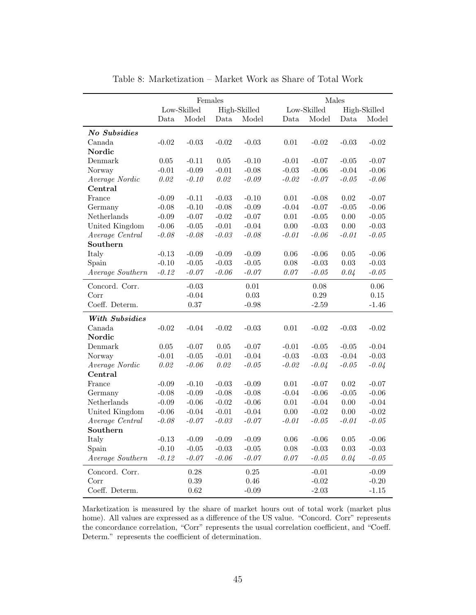|                  |          | Females     |          |              |          | Males       |            |              |
|------------------|----------|-------------|----------|--------------|----------|-------------|------------|--------------|
|                  |          | Low-Skilled |          | High-Skilled |          | Low-Skilled |            | High-Skilled |
|                  | Data     | Model       | Data     | Model        | Data     | Model       | Data       | Model        |
| No Subsidies     |          |             |          |              |          |             |            |              |
| Canada           | $-0.02$  | $-0.03$     | $-0.02$  | $-0.03$      | 0.01     | $-0.02$     | $-0.03$    | $-0.02$      |
| Nordic           |          |             |          |              |          |             |            |              |
| Denmark          | $0.05\,$ | $-0.11$     | $0.05\,$ | $-0.10$      | $-0.01$  | $-0.07$     | $-0.05$    | $-0.07$      |
| Norway           | $-0.01$  | $-0.09$     | $-0.01$  | $-0.08$      | $-0.03$  | $-0.06$     | $-0.04$    | $-0.06$      |
| Average Nordic   | 0.02     | $-0.10$     | 0.02     | $-0.09$      | $-0.02$  | $-0.07$     | $-0.05$    | $-0.06$      |
| Central          |          |             |          |              |          |             |            |              |
| France           | $-0.09$  | $-0.11$     | $-0.03$  | $-0.10$      | $0.01\,$ | $-0.08$     | $\rm 0.02$ | $-0.07$      |
| Germany          | $-0.08$  | $-0.10$     | $-0.08$  | $-0.09$      | $-0.04$  | $-0.07$     | $-0.05$    | $-0.06$      |
| Netherlands      | $-0.09$  | $-0.07$     | $-0.02$  | $-0.07$      | $0.01\,$ | $-0.05$     | $0.00\,$   | $-0.05$      |
| United Kingdom   | $-0.06$  | $-0.05$     | $-0.01$  | $-0.04$      | $0.00\,$ | $-0.03$     | $0.00\,$   | $-0.03$      |
| Average Central  | $-0.08$  | $-0.08$     | $-0.03$  | $-0.08$      | $-0.01$  | $-0.06$     | $-0.01$    | $-0.05$      |
| $\bf{Southern}$  |          |             |          |              |          |             |            |              |
| Italy            | $-0.13$  | $-0.09$     | $-0.09$  | $-0.09$      | $0.06\,$ | $-0.06$     | 0.05       | $-0.06$      |
| Spain            | $-0.10$  | $-0.05$     | $-0.03$  | $-0.05$      | 0.08     | $-0.03$     | 0.03       | $-0.03$      |
| Average Southern | $-0.12$  | $-0.07$     | $-0.06$  | $-0.07$      | 0.07     | $-0.05$     | 0.04       | $-0.05$      |
| Concord. Corr.   |          | $-0.03$     |          | $0.01\,$     |          | 0.08        |            | $0.06\,$     |
| Corr             |          | $-0.04$     |          | 0.03         |          | 0.29        |            | $0.15\,$     |
| Coeff. Determ.   |          | 0.37        |          | $-0.98$      |          | $-2.59$     |            | $-1.46$      |
| With Subsidies   |          |             |          |              |          |             |            |              |
| Canada           | $-0.02$  | $-0.04$     | $-0.02$  | $-0.03$      | $0.01\,$ | $-0.02$     | $-0.03$    | $-0.02$      |
| Nordic           |          |             |          |              |          |             |            |              |
| Denmark          | $0.05\,$ | $-0.07$     | $0.05\,$ | $-0.07$      | $-0.01$  | $-0.05$     | $-0.05$    | $-0.04$      |
| Norway           | $-0.01$  | $-0.05$     | $-0.01$  | $-0.04$      | $-0.03$  | $-0.03$     | $-0.04$    | $-0.03$      |
| Average Nordic   | 0.02     | $-0.06$     | 0.02     | $-0.05$      | $-0.02$  | $-0.04$     | $-0.05$    | $-0.04$      |
| Central          |          |             |          |              |          |             |            |              |
| France           | $-0.09$  | $-0.10$     | $-0.03$  | $-0.09$      | $0.01\,$ | $-0.07$     | 0.02       | $-0.07$      |
| Germany          | $-0.08$  | $-0.09$     | $-0.08$  | $-0.08$      | $-0.04$  | $-0.06$     | $-0.05$    | $-0.06$      |
| Netherlands      | $-0.09$  | $-0.06$     | $-0.02$  | $-0.06$      | 0.01     | $-0.04$     | 0.00       | $-0.04$      |
| United Kingdom   | $-0.06$  | $-0.04$     | $-0.01$  | $-0.04$      | $0.00\,$ | $-0.02$     | $0.00\,$   | $-0.02$      |
| Average Central  | $-0.08$  | $-0.07$     | $-0.03$  | $-0.07$      | $-0.01$  | $-0.05$     | $-0.01$    | $-0.05$      |
| Southern         |          |             |          |              |          |             |            |              |
| Italy            | $-0.13$  | $-0.09$     | $-0.09$  | $-0.09$      | 0.06     | $-0.06$     | 0.05       | $-0.06$      |
| Spain            | $-0.10$  | $-0.05$     | $-0.03$  | $-0.05$      | 0.08     | $-0.03$     | 0.03       | $-0.03$      |
| Average Southern | $-0.12$  | $-0.07$     | $-0.06$  | $-0.07$      | $0.07$   | $-0.05$     | 0.04       | $-0.05$      |
| Concord. Corr.   |          | 0.28        |          | $0.25\,$     |          | $-0.01$     |            | $-0.09$      |
| Corr             |          | 0.39        |          | 0.46         |          | $-0.02$     |            | $-0.20$      |
| Coeff. Determ.   |          | 0.62        |          | $-0.09$      |          | $-2.03$     |            | $-1.15$      |

Table 8: Marketization – Market Work as Share of Total Work

Marketization is measured by the share of market hours out of total work (market plus home). All values are expressed as a difference of the US value. "Concord. Corr" represents the concordance correlation, "Corr" represents the usual correlation coefficient, and "Coeff. Determ." represents the coefficient of determination.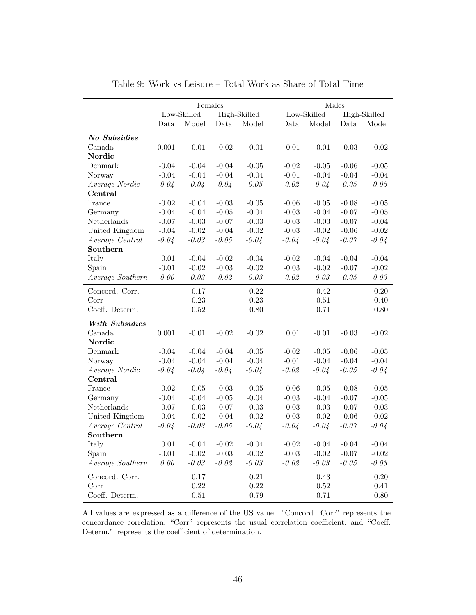|                  |           |             | Females |              |         |             | Males     |              |
|------------------|-----------|-------------|---------|--------------|---------|-------------|-----------|--------------|
|                  |           | Low-Skilled |         | High-Skilled |         | Low-Skilled |           | High-Skilled |
|                  | Data      | Model       | Data    | Model        | Data    | Model       | Data      | Model        |
| No Subsidies     |           |             |         |              |         |             |           |              |
| Canada           | 0.001     | $-0.01$     | $-0.02$ | $-0.01$      | 0.01    | $-0.01$     | $-0.03$   | $-0.02$      |
| Nordic           |           |             |         |              |         |             |           |              |
| Denmark          | $-0.04$   | $-0.04$     | $-0.04$ | $-0.05$      | $-0.02$ | $-0.05$     | $-0.06$   | $-0.05$      |
| Norway           | $-0.04$   | $-0.04$     | $-0.04$ | $-0.04$      | $-0.01$ | $-0.04$     | $-0.04$   | $-0.04$      |
| Average Nordic   | $-0.04$   | $-0.04$     | $-0.04$ | $-0.05$      | $-0.02$ | $-0.04$     | $-0.05$   | $-0.05$      |
| Central          |           |             |         |              |         |             |           |              |
| France           | $-0.02$   | $-0.04$     | $-0.03$ | $-0.05$      | $-0.06$ | $-0.05$     | $-0.08$   | $-0.05$      |
| Germany          | $-0.04$   | $-0.04$     | $-0.05$ | $-0.04$      | $-0.03$ | $-0.04$     | $-0.07$   | $-0.05$      |
| Netherlands      | $-0.07$   | $-0.03$     | $-0.07$ | $-0.03$      | $-0.03$ | $-0.03$     | $-0.07$   | $-0.04$      |
| United Kingdom   | $-0.04$   | $-0.02$     | $-0.04$ | $-0.02$      | $-0.03$ | $-0.02$     | $-0.06$   | $-0.02$      |
| Average Central  | $-0.04$   | $-0.03$     | $-0.05$ | $-0.04$      | $-0.04$ | $-0.04$     | $-0.07$   | $-0.04$      |
| Southern         |           |             |         |              |         |             |           |              |
| Italy            | 0.01      | $-0.04$     | $-0.02$ | $-0.04$      | $-0.02$ | $-0.04$     | $-0.04$   | $-0.04$      |
| Spain            | $-0.01$   | $-0.02$     | $-0.03$ | $-0.02$      | $-0.03$ | $-0.02$     | $-0.07$   | $-0.02$      |
| Average Southern | $0.00\,$  | $-0.03$     | $-0.02$ | $-0.03$      | $-0.02$ | $-0.03$     | $-0.05$   | $-0.03$      |
| Concord. Corr.   |           | $0.17\,$    |         | $0.22\,$     |         | 0.42        |           | $0.20\,$     |
| Corr             |           | 0.23        |         | $0.23\,$     |         | $0.51\,$    |           | 0.40         |
| Coeff. Determ.   |           | $0.52\,$    |         | $0.80\,$     |         | 0.71        |           | 0.80         |
| With Subsidies   |           |             |         |              |         |             |           |              |
| Canada           | $0.001\,$ | $-0.01$     | $-0.02$ | $-0.02$      | 0.01    | $-0.01$     | $-0.03$   | $-0.02$      |
| Nordic           |           |             |         |              |         |             |           |              |
| Denmark          | $-0.04$   | $-0.04$     | $-0.04$ | $-0.05$      | $-0.02$ | $-0.05$     | $-0.06$   | $-0.05$      |
| Norway           | $-0.04$   | $-0.04$     | $-0.04$ | $-0.04$      | $-0.01$ | $-0.04$     | $-0.04$   | $-0.04$      |
| Average Nordic   | $-0.04$   | $-0.04$     | $-0.04$ | $-0.04$      | $-0.02$ | $-0.04$     | $-0.05$   | $-0.04$      |
| Central          |           |             |         |              |         |             |           |              |
| France           | $-0.02$   | $-0.05$     | $-0.03$ | $-0.05$      | $-0.06$ | $-0.05$     | $-0.08$   | $-0.05$      |
| Germany          | $-0.04$   | $-0.04$     | $-0.05$ | $-0.04$      | $-0.03$ | $-0.04$     | $-0.07$   | $-0.05$      |
| Netherlands      | $-0.07$   | $-0.03$     | $-0.07$ | $-0.03$      | $-0.03$ | $-0.03$     | $-0.07$   | $-0.03$      |
| United Kingdom   | $-0.04$   | $-0.02$     | $-0.04$ | $-0.02$      | $-0.03$ | $-0.02$     | $-0.06$   | $-0.02$      |
| Average Central  | $-0.04$   | $-0.03$     | $-0.05$ | $-0.04$      | $-0.04$ | $-0.04$     | $-0.07\,$ | $-0.04$      |
| Southern         |           |             |         |              |         |             |           |              |
| Italy            | $0.01\,$  | $-0.04$     | $-0.02$ | $-0.04$      | $-0.02$ | $-0.04$     | $-0.04$   | $-0.04$      |
| Spain            | $-0.01$   | $-0.02$     | $-0.03$ | $-0.02$      | $-0.03$ | $-0.02$     | $-0.07$   | $-0.02$      |
| Average Southern | $0.00\,$  | $-0.03$     | $-0.02$ | $-0.03$      | $-0.02$ | $-0.03$     | $-0.05$   | $-0.03$      |
| Concord. Corr.   |           | $0.17\,$    |         | $\rm 0.21$   |         | 0.43        |           | 0.20         |
| Corr             |           | $0.22\,$    |         | $0.22\,$     |         | $0.52\,$    |           | 0.41         |
| Coeff. Determ.   |           | $0.51\,$    |         | 0.79         |         | 0.71        |           | $0.80\,$     |

Table 9: Work vs Leisure – Total Work as Share of Total Time

All values are expressed as a difference of the US value. "Concord. Corr" represents the concordance correlation, "Corr" represents the usual correlation coefficient, and "Coeff. Determ." represents the coefficient of determination.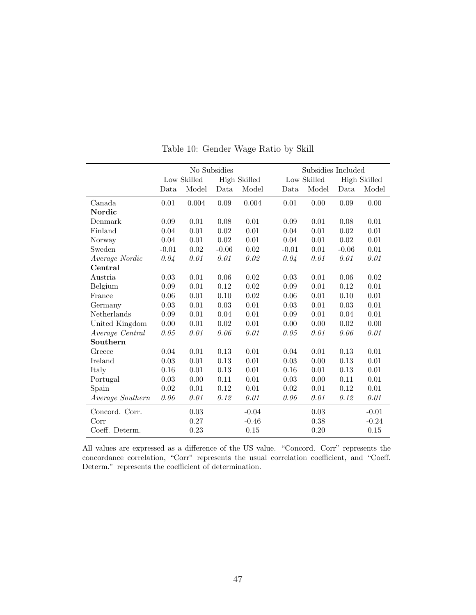|                  |         |             | No Subsidies |                     |         | Subsidies Included |            |                     |
|------------------|---------|-------------|--------------|---------------------|---------|--------------------|------------|---------------------|
|                  |         | Low Skilled |              | <b>High Skilled</b> |         | Low Skilled        |            | <b>High Skilled</b> |
|                  | Data    | Model       | Data         | Model               | Data    | Model              | Data       | Model               |
| Canada           | 0.01    | 0.004       | 0.09         | 0.004               | 0.01    | 0.00               | 0.09       | 0.00                |
| Nordic           |         |             |              |                     |         |                    |            |                     |
| Denmark          | 0.09    | 0.01        | 0.08         | 0.01                | 0.09    | 0.01               | 0.08       | 0.01                |
| Finland          | 0.04    | 0.01        | 0.02         | 0.01                | 0.04    | 0.01               | 0.02       | 0.01                |
| Norway           | 0.04    | 0.01        | 0.02         | 0.01                | 0.04    | 0.01               | 0.02       | 0.01                |
| Sweden           | $-0.01$ | 0.02        | $-0.06$      | 0.02                | $-0.01$ | 0.01               | $-0.06$    | 0.01                |
| Average Nordic   | 0.04    | 0.01        | 0.01         | 0.02                | 0.04    | 0.01               | 0.01       | 0.01                |
| Central          |         |             |              |                     |         |                    |            |                     |
| Austria          | 0.03    | 0.01        | 0.06         | 0.02                | 0.03    | 0.01               | 0.06       | 0.02                |
| Belgium          | 0.09    | 0.01        | 0.12         | 0.02                | 0.09    | 0.01               | $\rm 0.12$ | 0.01                |
| France           | 0.06    | 0.01        | 0.10         | 0.02                | 0.06    | 0.01               | 0.10       | 0.01                |
| Germany          | 0.03    | 0.01        | 0.03         | 0.01                | 0.03    | 0.01               | 0.03       | 0.01                |
| Netherlands      | 0.09    | 0.01        | 0.04         | 0.01                | 0.09    | 0.01               | 0.04       | 0.01                |
| United Kingdom   | 0.00    | 0.01        | 0.02         | 0.01                | 0.00    | 0.00               | $\,0.02$   | 0.00                |
| Average Central  | 0.05    | 0.01        | 0.06         | 0.01                | 0.05    | 0.01               | 0.06       | 0.01                |
| Southern         |         |             |              |                     |         |                    |            |                     |
| Greece           | 0.04    | 0.01        | 0.13         | 0.01                | 0.04    | 0.01               | 0.13       | 0.01                |
| Ireland          | 0.03    | 0.01        | 0.13         | $0.01\,$            | 0.03    | 0.00               | 0.13       | 0.01                |
| Italy            | 0.16    | 0.01        | 0.13         | 0.01                | 0.16    | 0.01               | 0.13       | 0.01                |
| Portugal         | 0.03    | 0.00        | 0.11         | 0.01                | 0.03    | 0.00               | 0.11       | 0.01                |
| Spain            | 0.02    | 0.01        | 0.12         | 0.01                | 0.02    | 0.01               | 0.12       | 0.01                |
| Average Southern | 0.06    | 0.01        | 0.12         | 0.01                | 0.06    | 0.01               | 0.12       | 0.01                |
| Concord. Corr.   |         | 0.03        |              | $-0.04$             |         | 0.03               |            | $-0.01$             |
| Corr             |         | 0.27        |              | $-0.46$             |         | 0.38               |            | $-0.24$             |
| Coeff. Determ.   |         | 0.23        |              | 0.15                |         | 0.20               |            | 0.15                |

Table 10: Gender Wage Ratio by Skill

All values are expressed as a difference of the US value. "Concord. Corr" represents the concordance correlation, "Corr" represents the usual correlation coefficient, and "Coeff. Determ." represents the coefficient of determination.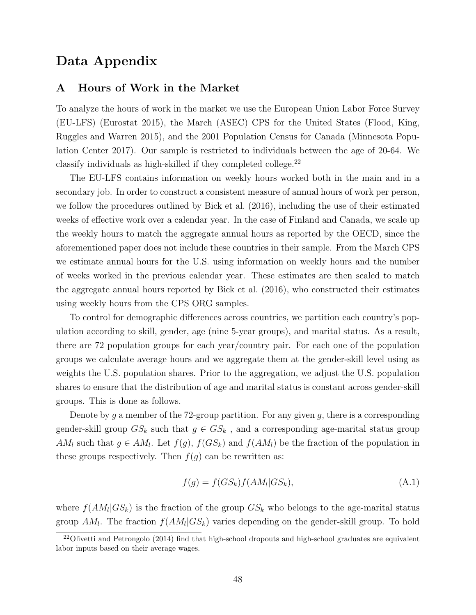## Data Appendix

### A Hours of Work in the Market

To analyze the hours of work in the market we use the European Union Labor Force Survey (EU-LFS) (Eurostat 2015), the March (ASEC) CPS for the United States (Flood, King, Ruggles and Warren 2015), and the 2001 Population Census for Canada (Minnesota Population Center 2017). Our sample is restricted to individuals between the age of 20-64. We classify individuals as high-skilled if they completed college.<sup>22</sup>

The EU-LFS contains information on weekly hours worked both in the main and in a secondary job. In order to construct a consistent measure of annual hours of work per person, we follow the procedures outlined by Bick et al. (2016), including the use of their estimated weeks of effective work over a calendar year. In the case of Finland and Canada, we scale up the weekly hours to match the aggregate annual hours as reported by the OECD, since the aforementioned paper does not include these countries in their sample. From the March CPS we estimate annual hours for the U.S. using information on weekly hours and the number of weeks worked in the previous calendar year. These estimates are then scaled to match the aggregate annual hours reported by Bick et al. (2016), who constructed their estimates using weekly hours from the CPS ORG samples.

To control for demographic differences across countries, we partition each country's population according to skill, gender, age (nine 5-year groups), and marital status. As a result, there are 72 population groups for each year/country pair. For each one of the population groups we calculate average hours and we aggregate them at the gender-skill level using as weights the U.S. population shares. Prior to the aggregation, we adjust the U.S. population shares to ensure that the distribution of age and marital status is constant across gender-skill groups. This is done as follows.

Denote by q a member of the 72-group partition. For any given  $q$ , there is a corresponding gender-skill group  $GS_k$  such that  $g \in GS_k$ , and a corresponding age-marital status group AM<sub>l</sub> such that  $g \in AM_l$ . Let  $f(g)$ ,  $f(GS_k)$  and  $f(AM_l)$  be the fraction of the population in these groups respectively. Then  $f(g)$  can be rewritten as:

$$
f(g) = f(GS_k)f(AM_l|GS_k),
$$
\n(A.1)

where  $f(AM_l|GS_k)$  is the fraction of the group  $GS_k$  who belongs to the age-marital status group  $AM_l$ . The fraction  $f(AM_l|GS_k)$  varies depending on the gender-skill group. To hold

<sup>&</sup>lt;sup>22</sup>Olivetti and Petrongolo (2014) find that high-school dropouts and high-school graduates are equivalent labor inputs based on their average wages.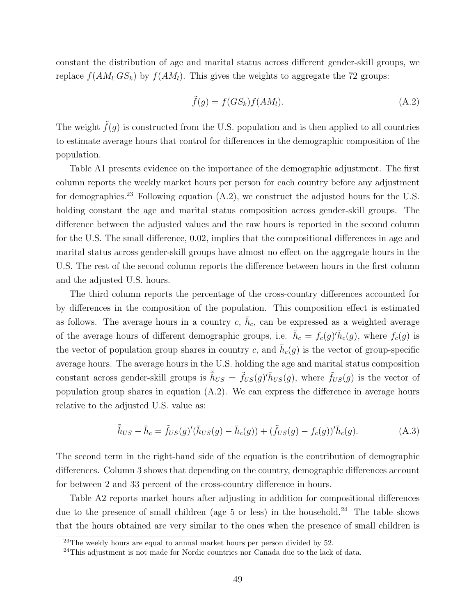constant the distribution of age and marital status across different gender-skill groups, we replace  $f(AM_l|GS_k)$  by  $f(AM_l)$ . This gives the weights to aggregate the 72 groups:

$$
\tilde{f}(g) = f(GS_k)f(AM_l). \tag{A.2}
$$

The weight  $\tilde{f}(g)$  is constructed from the U.S. population and is then applied to all countries to estimate average hours that control for differences in the demographic composition of the population.

Table A1 presents evidence on the importance of the demographic adjustment. The first column reports the weekly market hours per person for each country before any adjustment for demographics.<sup>23</sup> Following equation  $(A.2)$ , we construct the adjusted hours for the U.S. holding constant the age and marital status composition across gender-skill groups. The difference between the adjusted values and the raw hours is reported in the second column for the U.S. The small difference, 0.02, implies that the compositional differences in age and marital status across gender-skill groups have almost no effect on the aggregate hours in the U.S. The rest of the second column reports the difference between hours in the first column and the adjusted U.S. hours.

The third column reports the percentage of the cross-country differences accounted for by differences in the composition of the population. This composition effect is estimated as follows. The average hours in a country  $c, \bar{h}_c$ , can be expressed as a weighted average of the average hours of different demographic groups, i.e.  $\bar{h}_c = f_c(g)'\bar{h}_c(g)$ , where  $f_c(g)$  is the vector of population group shares in country c, and  $\bar{h}_c(g)$  is the vector of group-specific average hours. The average hours in the U.S. holding the age and marital status composition constant across gender-skill groups is  $\tilde{h}_{US} = \tilde{f}_{US}(g)'\tilde{h}_{US}(g)$ , where  $\tilde{f}_{US}(g)$  is the vector of population group shares in equation (A.2). We can express the difference in average hours relative to the adjusted U.S. value as:

$$
\tilde{\bar{h}}_{US} - \bar{h}_c = \tilde{f}_{US}(g)'(\bar{h}_{US}(g) - \bar{h}_c(g)) + (\tilde{f}_{US}(g) - f_c(g))'\bar{h}_c(g). \tag{A.3}
$$

The second term in the right-hand side of the equation is the contribution of demographic differences. Column 3 shows that depending on the country, demographic differences account for between 2 and 33 percent of the cross-country difference in hours.

Table A2 reports market hours after adjusting in addition for compositional differences due to the presence of small children (age  $5$  or less) in the household.<sup>24</sup> The table shows that the hours obtained are very similar to the ones when the presence of small children is

 $23$ The weekly hours are equal to annual market hours per person divided by 52.

<sup>&</sup>lt;sup>24</sup>This adjustment is not made for Nordic countries nor Canada due to the lack of data.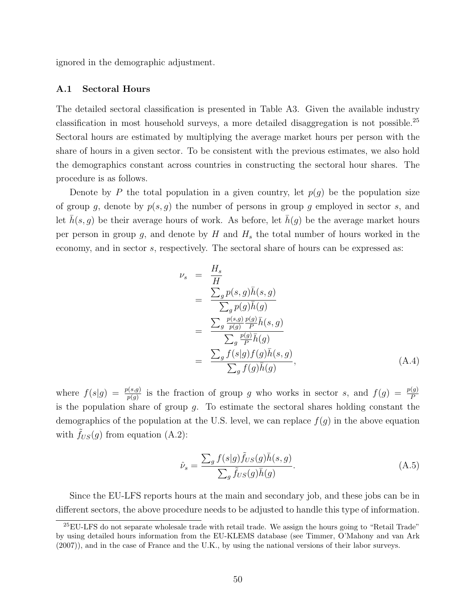ignored in the demographic adjustment.

### A.1 Sectoral Hours

The detailed sectoral classification is presented in Table A3. Given the available industry classification in most household surveys, a more detailed disaggregation is not possible.<sup>25</sup> Sectoral hours are estimated by multiplying the average market hours per person with the share of hours in a given sector. To be consistent with the previous estimates, we also hold the demographics constant across countries in constructing the sectoral hour shares. The procedure is as follows.

Denote by P the total population in a given country, let  $p(q)$  be the population size of group g, denote by  $p(s, g)$  the number of persons in group g employed in sector s, and let  $h(s, g)$  be their average hours of work. As before, let  $h(g)$  be the average market hours per person in group g, and denote by H and  $H_s$  the total number of hours worked in the economy, and in sector s, respectively. The sectoral share of hours can be expressed as:

$$
\nu_s = \frac{H_s}{H}
$$
\n
$$
= \frac{\sum_g p(s, g)\bar{h}(s, g)}{\sum_g p(g)\bar{h}(g)}
$$
\n
$$
= \frac{\sum_g \frac{p(s, g)}{p(g)}\bar{h}(g)}{\sum_g \frac{p(g)}{P}\bar{h}(g)}
$$
\n
$$
= \frac{\sum_g f(s|g)f(g)\bar{h}(s, g)}{\sum_g f(g)\bar{h}(g)}, \tag{A.4}
$$

where  $f(s|g) = \frac{p(s,g)}{p(g)}$  is the fraction of group g who works in sector s, and  $f(g) = \frac{p(g)}{P}$ is the population share of group  $g$ . To estimate the sectoral shares holding constant the demographics of the population at the U.S. level, we can replace  $f(g)$  in the above equation with  $\tilde{f}_{US}(g)$  from equation (A.2):

$$
\hat{\nu}_s = \frac{\sum_g f(s|g)\tilde{f}_{US}(g)\bar{h}(s,g)}{\sum_g \tilde{f}_{US}(g)\bar{h}(g)}.
$$
\n(A.5)

Since the EU-LFS reports hours at the main and secondary job, and these jobs can be in different sectors, the above procedure needs to be adjusted to handle this type of information.

<sup>25</sup>EU-LFS do not separate wholesale trade with retail trade. We assign the hours going to "Retail Trade" by using detailed hours information from the EU-KLEMS database (see Timmer, O'Mahony and van Ark (2007)), and in the case of France and the U.K., by using the national versions of their labor surveys.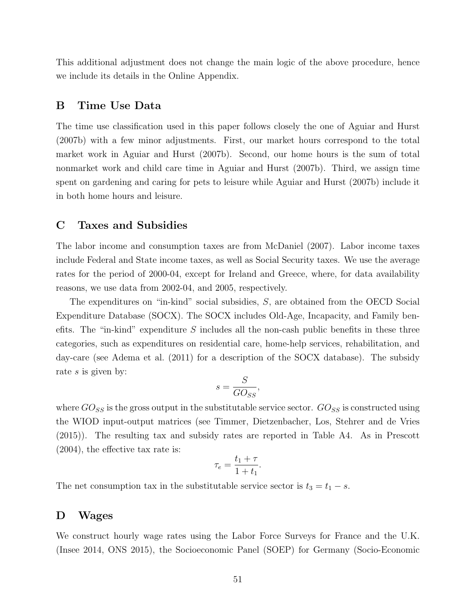This additional adjustment does not change the main logic of the above procedure, hence we include its details in the Online Appendix.

## B Time Use Data

The time use classification used in this paper follows closely the one of Aguiar and Hurst (2007b) with a few minor adjustments. First, our market hours correspond to the total market work in Aguiar and Hurst (2007b). Second, our home hours is the sum of total nonmarket work and child care time in Aguiar and Hurst (2007b). Third, we assign time spent on gardening and caring for pets to leisure while Aguiar and Hurst (2007b) include it in both home hours and leisure.

### C Taxes and Subsidies

The labor income and consumption taxes are from McDaniel (2007). Labor income taxes include Federal and State income taxes, as well as Social Security taxes. We use the average rates for the period of 2000-04, except for Ireland and Greece, where, for data availability reasons, we use data from 2002-04, and 2005, respectively.

The expenditures on "in-kind" social subsidies, S, are obtained from the OECD Social Expenditure Database (SOCX). The SOCX includes Old-Age, Incapacity, and Family benefits. The "in-kind" expenditure  $S$  includes all the non-cash public benefits in these three categories, such as expenditures on residential care, home-help services, rehabilitation, and day-care (see Adema et al. (2011) for a description of the SOCX database). The subsidy rate s is given by:

$$
s = \frac{S}{GO_{SS}}
$$

,

where  $GO_{SS}$  is the gross output in the substitutable service sector.  $GO_{SS}$  is constructed using the WIOD input-output matrices (see Timmer, Dietzenbacher, Los, Stehrer and de Vries (2015)). The resulting tax and subsidy rates are reported in Table A4. As in Prescott (2004), the effective tax rate is:

$$
\tau_e = \frac{t_1 + \tau}{1 + t_1}.
$$

The net consumption tax in the substitutable service sector is  $t_3 = t_1 - s$ .

### D Wages

We construct hourly wage rates using the Labor Force Surveys for France and the U.K. (Insee 2014, ONS 2015), the Socioeconomic Panel (SOEP) for Germany (Socio-Economic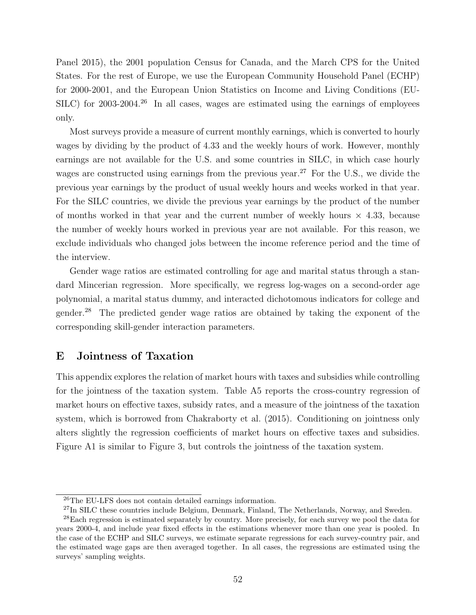Panel 2015), the 2001 population Census for Canada, and the March CPS for the United States. For the rest of Europe, we use the European Community Household Panel (ECHP) for 2000-2001, and the European Union Statistics on Income and Living Conditions (EU-SILC) for  $2003-2004<sup>26</sup>$  In all cases, wages are estimated using the earnings of employees only.

Most surveys provide a measure of current monthly earnings, which is converted to hourly wages by dividing by the product of 4.33 and the weekly hours of work. However, monthly earnings are not available for the U.S. and some countries in SILC, in which case hourly wages are constructed using earnings from the previous year.<sup>27</sup> For the U.S., we divide the previous year earnings by the product of usual weekly hours and weeks worked in that year. For the SILC countries, we divide the previous year earnings by the product of the number of months worked in that year and the current number of weekly hours  $\times$  4.33, because the number of weekly hours worked in previous year are not available. For this reason, we exclude individuals who changed jobs between the income reference period and the time of the interview.

Gender wage ratios are estimated controlling for age and marital status through a standard Mincerian regression. More specifically, we regress log-wages on a second-order age polynomial, a marital status dummy, and interacted dichotomous indicators for college and gender.<sup>28</sup> The predicted gender wage ratios are obtained by taking the exponent of the corresponding skill-gender interaction parameters.

### E Jointness of Taxation

This appendix explores the relation of market hours with taxes and subsidies while controlling for the jointness of the taxation system. Table A5 reports the cross-country regression of market hours on effective taxes, subsidy rates, and a measure of the jointness of the taxation system, which is borrowed from Chakraborty et al. (2015). Conditioning on jointness only alters slightly the regression coefficients of market hours on effective taxes and subsidies. Figure A1 is similar to Figure 3, but controls the jointness of the taxation system.

<sup>26</sup>The EU-LFS does not contain detailed earnings information.

<sup>&</sup>lt;sup>27</sup>In SILC these countries include Belgium, Denmark, Finland, The Netherlands, Norway, and Sweden.

<sup>28</sup>Each regression is estimated separately by country. More precisely, for each survey we pool the data for years 2000-4, and include year fixed effects in the estimations whenever more than one year is pooled. In the case of the ECHP and SILC surveys, we estimate separate regressions for each survey-country pair, and the estimated wage gaps are then averaged together. In all cases, the regressions are estimated using the surveys' sampling weights.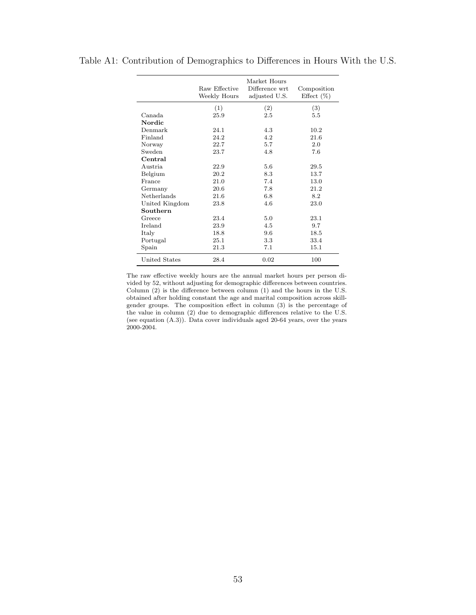|                      | Raw Effective<br>Weekly Hours | Market Hours<br>Difference wrt<br>adjusted U.S. | Composition<br>Effect $(\%)$ |
|----------------------|-------------------------------|-------------------------------------------------|------------------------------|
|                      | (1)                           | (2)                                             | (3)                          |
| Canada.              | 25.9                          | 2.5                                             | 5.5                          |
| Nordic               |                               |                                                 |                              |
| Denmark              | 24.1                          | 4.3                                             | 10.2                         |
| Finland              | 24.2                          | 4.2                                             | 21.6                         |
| Norway               | 22.7                          | 5.7                                             | 2.0                          |
| Sweden               | 23.7                          | 4.8                                             | 7.6                          |
| Central              |                               |                                                 |                              |
| Austria              | 22.9                          | 5.6                                             | 29.5                         |
| Belgium              | 20.2                          | 8.3                                             | 13.7                         |
| France               | 21.0                          | 7.4                                             | 13.0                         |
| Germany              | 20.6                          | 7.8                                             | 21.2                         |
| Netherlands          | 21.6                          | 6.8                                             | 8.2                          |
| United Kingdom       | 23.8                          | 4.6                                             | 23.0                         |
| Southern             |                               |                                                 |                              |
| Greece               | 23.4                          | 5.0                                             | 23.1                         |
| Ireland              | 23.9                          | 4.5                                             | 9.7                          |
| Italy                | 18.8                          | 9.6                                             | 18.5                         |
| Portugal             | 25.1                          | 3.3                                             | 33.4                         |
| Spain                | 21.3                          | 7.1                                             | 15.1                         |
| <b>United States</b> | 28.4                          | 0.02                                            | 100                          |

Table A1: Contribution of Demographics to Differences in Hours With the U.S.

The raw effective weekly hours are the annual market hours per person divided by 52, without adjusting for demographic differences between countries. Column (2) is the difference between column (1) and the hours in the U.S. obtained after holding constant the age and marital composition across skillgender groups. The composition effect in column (3) is the percentage of the value in column (2) due to demographic differences relative to the U.S. (see equation (A.3)). Data cover individuals aged 20-64 years, over the years 2000-2004.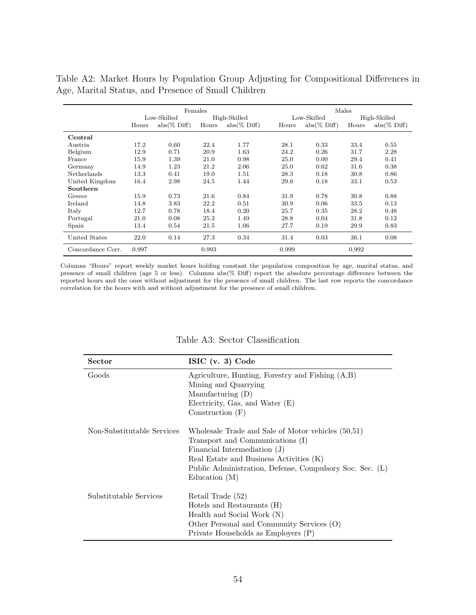|                    |       |                        | Females |                |       |                | Males |                |
|--------------------|-------|------------------------|---------|----------------|-------|----------------|-------|----------------|
|                    |       | Low-Skilled            |         | High-Skilled   |       | Low-Skilled    |       | High-Skilled   |
|                    | Hours | $abs(\% \text{ Diff})$ | Hours   | $abs(\% Diff)$ | Hours | $abs(\% Diff)$ | Hours | $abs(\% Diff)$ |
| Central            |       |                        |         |                |       |                |       |                |
| Austria            | 17.2  | 0.60                   | 22.4    | 1.77           | 28.1  | 0.33           | 33.4  | 0.55           |
| Belgium            | 12.9  | 0.71                   | 20.9    | 1.63           | 24.2  | 0.26           | 31.7  | 2.28           |
| France             | 15.9  | 1.39                   | 21.0    | 0.98           | 25.0  | 0.00           | 29.4  | 0.41           |
| Germany            | 14.9  | 1.23                   | 21.2    | 2.06           | 25.0  | 0.62           | 31.6  | 0.38           |
| <b>Netherlands</b> | 13.3  | 0.41                   | 19.0    | 1.51           | 28.3  | 0.18           | 30.8  | 0.86           |
| United Kingdom     | 16.4  | 2.98                   | 24.5    | 1.44           | 29.6  | 0.18           | 33.1  | 0.53           |
| Southern           |       |                        |         |                |       |                |       |                |
| Greece             | 15.9  | 0.73                   | 21.6    | 0.84           | 31.9  | 0.78           | 30.8  | 0.88           |
| Ireland            | 14.8  | 3.83                   | 22.2    | 0.51           | 30.9  | 0.06           | 33.5  | 0.13           |
| Italy              | 12.7  | 0.78                   | 18.4    | 0.20           | 25.7  | 0.35           | 28.2  | 0.48           |
| Portugal           | 21.0  | 0.08                   | 25.3    | 1.49           | 28.8  | 0.04           | 31.8  | 0.12           |
| Spain              | 13.4  | 0.54                   | 21.5    | 1.06           | 27.7  | 0.19           | 29.9  | 0.83           |
| United States      | 22.0  | 0.14                   | 27.3    | 0.34           | 31.4  | 0.03           | 36.1  | 0.08           |
| Concordance Corr.  | 0.997 |                        | 0.993   |                | 0.999 |                | 0.992 |                |

Table A2: Market Hours by Population Group Adjusting for Compositional Differences in Age, Marital Status, and Presence of Small Children

Columns "Hours" report weekly market hours holding constant the population composition by age, marital status, and presence of small children (age 5 or less). Columns abs(% Diff) report the absolute percentage difference between the reported hours and the ones without adjustment for the presence of small children. The last row reports the concordance correlation for the hours with and without adjustment for the presence of small children.

| <b>Sector</b>              | ISIC $(v. 3)$ Code                                                                                                                                                                                                                             |
|----------------------------|------------------------------------------------------------------------------------------------------------------------------------------------------------------------------------------------------------------------------------------------|
| Goods                      | Agriculture, Hunting, Forestry and Fishing $(A,B)$<br>Mining and Quarrying<br>Manufacturing (D)<br>Electricity, Gas, and Water (E)<br>Construction $(F)$                                                                                       |
| Non-Substitutable Services | Wholesale Trade and Sale of Motor vehicles (50,51)<br>Transport and Communications (I)<br>Financial Intermediation (J)<br>Real Estate and Business Activities (K)<br>Public Administration, Defense, Compulsory Soc. Sec. (L)<br>Education (M) |
| Substitutable Services     | Retail Trade (52)<br>Hotels and Restaurants (H)<br>Health and Social Work (N)<br>Other Personal and Community Services (O)<br>Private Households as Employers (P)                                                                              |

### Table A3: Sector Classification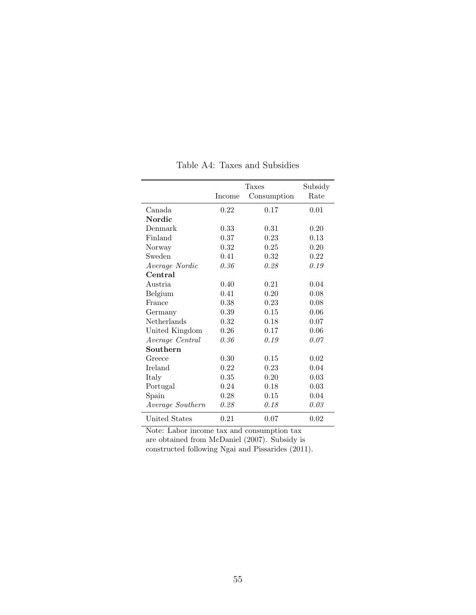|                  |        | Taxes       | Subsidy |
|------------------|--------|-------------|---------|
|                  | Income | Consumption | Rate    |
| Canada           | 0.22   | 0.17        | 0.01    |
| Nordic           |        |             |         |
| Denmark          | 0.33   | 0.31        | 0.20    |
| Finland          | 0.37   | 0.23        | 0.13    |
| Norway           | 0.32   | 0.25        | 0.20    |
| Sweden           | 0.41   | 0.32        | 0.22    |
| Average Nordic   | 0.36   | 0.28        | 0.19    |
| Central          |        |             |         |
| Austria          | 0.40   | 0.21        | 0.04    |
| Belgium          | 0.41   | 0.20        | 0.08    |
| France           | 0.38   | 0.23        | 0.08    |
| Germany          | 0.39   | 0.15        | 0.06    |
| Netherlands      | 0.32   | 0.18        | 0.07    |
| United Kingdom   | 0.26   | 0.17        | 0.06    |
| Average Central  | 0.36   | 0.19        | 0.07    |
| Southern         |        |             |         |
| Greece           | 0.30   | 0.15        | 0.02    |
| Ireland          | 0.22   | 0.23        | 0.04    |
| Italy            | 0.35   | 0.20        | 0.03    |
| Portugal         | 0.24   | 0.18        | 0.03    |
| Spain            | 0.28   | 0.15        | 0.04    |
| Average Southern | 0.28   | 0.18        | 0.03    |
| United States    | 0.21   | 0.07        | 0.02    |

Table A4: Taxes and Subsidies

Note: Labor income tax and consumption tax

are obtained from McDaniel (2007). Subsidy is constructed following Ngai and Pissarides (2011).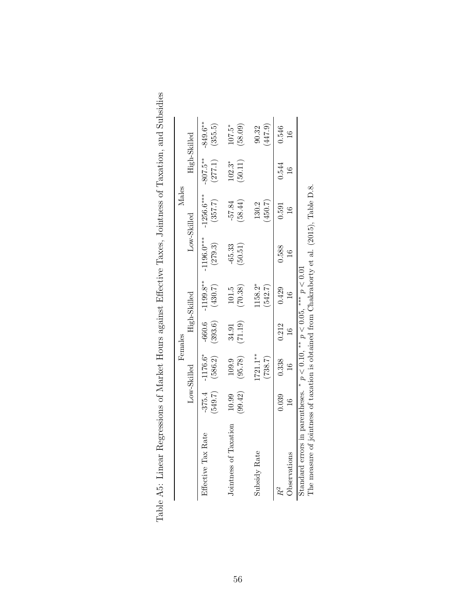|                                                                                                                                                                              |                        |                       | Females             |                          |                         | Males                   |                        |                        |
|------------------------------------------------------------------------------------------------------------------------------------------------------------------------------|------------------------|-----------------------|---------------------|--------------------------|-------------------------|-------------------------|------------------------|------------------------|
|                                                                                                                                                                              |                        | Low-Skilled           |                     | High-Skilled             |                         | Low-Skilled             |                        | High-Skilled           |
| Effective Tax Rate                                                                                                                                                           | (549.7)<br>$-375.4$    | $-1176.6*$<br>(586.2) | (393.6)<br>$-660.6$ | $-1199.8**$<br>(430.7)   | $-1196.0***$<br>(279.3) | $-1256.6***$<br>(357.7) | $-807.5***$<br>(277.1) | $-849.6***$<br>(355.5) |
| Jointness of Taxation                                                                                                                                                        | (99.42)<br>10.99       | (95.78)<br>109.9      | (71.19)<br>34.91    | (70.38)<br>101.5         | $-65.33$<br>(50.51)     | (58.44)<br>$-57.84$     | (50.11)<br>$102.3*$    | $107.5*$<br>(58.09)    |
| Subsidy Rate                                                                                                                                                                 |                        | $721.1***$<br>(738.7) |                     | 158.2*<br>(542.7)        |                         | (450.7)<br>130.2        |                        | (447.9)<br>90.32       |
| Observations                                                                                                                                                                 | 0.039<br>$\frac{6}{1}$ | 0.338                 | 0.212               | 0.429<br>$\overline{16}$ | 0.588<br>$\frac{6}{1}$  | 0.591                   | 0.544                  | 0.546<br>$\frac{1}{1}$ |
| The measure of jointness of taxation is obtained from Chakraborty et al. (2015), Table D.8.<br>Standard errors in parentheses. * $p < 0.10$ , ** $p < 0.05$ , *** $p < 0.01$ |                        |                       |                     |                          |                         |                         |                        |                        |

| )<br>2<br>3<br>1<br>3<br>Ì                                                                                                                                                                                                                                                                                                                                                                                                                                                                        |
|---------------------------------------------------------------------------------------------------------------------------------------------------------------------------------------------------------------------------------------------------------------------------------------------------------------------------------------------------------------------------------------------------------------------------------------------------------------------------------------------------|
| rus in the case of the case of the contraction of the contraction of the contraction of the contract of the contraction of the contract of the contract of the contract of the contract of the contract of the contract of the<br>in the contract of the contract of the contract of the contract of the contract of the contract of the contract of the contract of the contract of the contract of the contract of the contract of the contract of the contrac<br>$\overline{\phantom{a}}$<br>I |
| )<br> <br> <br>l                                                                                                                                                                                                                                                                                                                                                                                                                                                                                  |
| - 2021 - 2021<br>くくりょく<br>I                                                                                                                                                                                                                                                                                                                                                                                                                                                                       |
| ;<br>İ<br>i<br>I                                                                                                                                                                                                                                                                                                                                                                                                                                                                                  |
| )                                                                                                                                                                                                                                                                                                                                                                                                                                                                                                 |
| י<br>ו                                                                                                                                                                                                                                                                                                                                                                                                                                                                                            |
| $\frac{1}{2}$<br>$+$ $-$                                                                                                                                                                                                                                                                                                                                                                                                                                                                          |
| ĺ<br>֧֧֧֧֧֧֧֧֧֧֧֧֧֧֧֧֧֧֧֧֧֧֧֧֛֛֛֛֛֛֛֚֚֚֚֚֚֚֚֚֚֚֚֚֚֚֚֚֚֚֚֚֚֚֚֚֚֚֚֝֝֓֝֓֝֓֝֬֝֓֝֬֝֓֝֬֝֬֝֬֝֬֝֬֝֬֝֬֝֬֝֬֜֜<br>くちょうこう<br>i<br>J<br>Ī<br>J<br>J<br>ļ<br>l                                                                                                                                                                                                                                                                                                                                                  |
| l<br>j<br>l<br>۱<br>$\overline{a}$                                                                                                                                                                                                                                                                                                                                                                                                                                                                |
| ¢<br>ׇ֕<br>l<br>l                                                                                                                                                                                                                                                                                                                                                                                                                                                                                 |
| ١<br>ł<br>ℷ<br>ì<br>۱                                                                                                                                                                                                                                                                                                                                                                                                                                                                             |